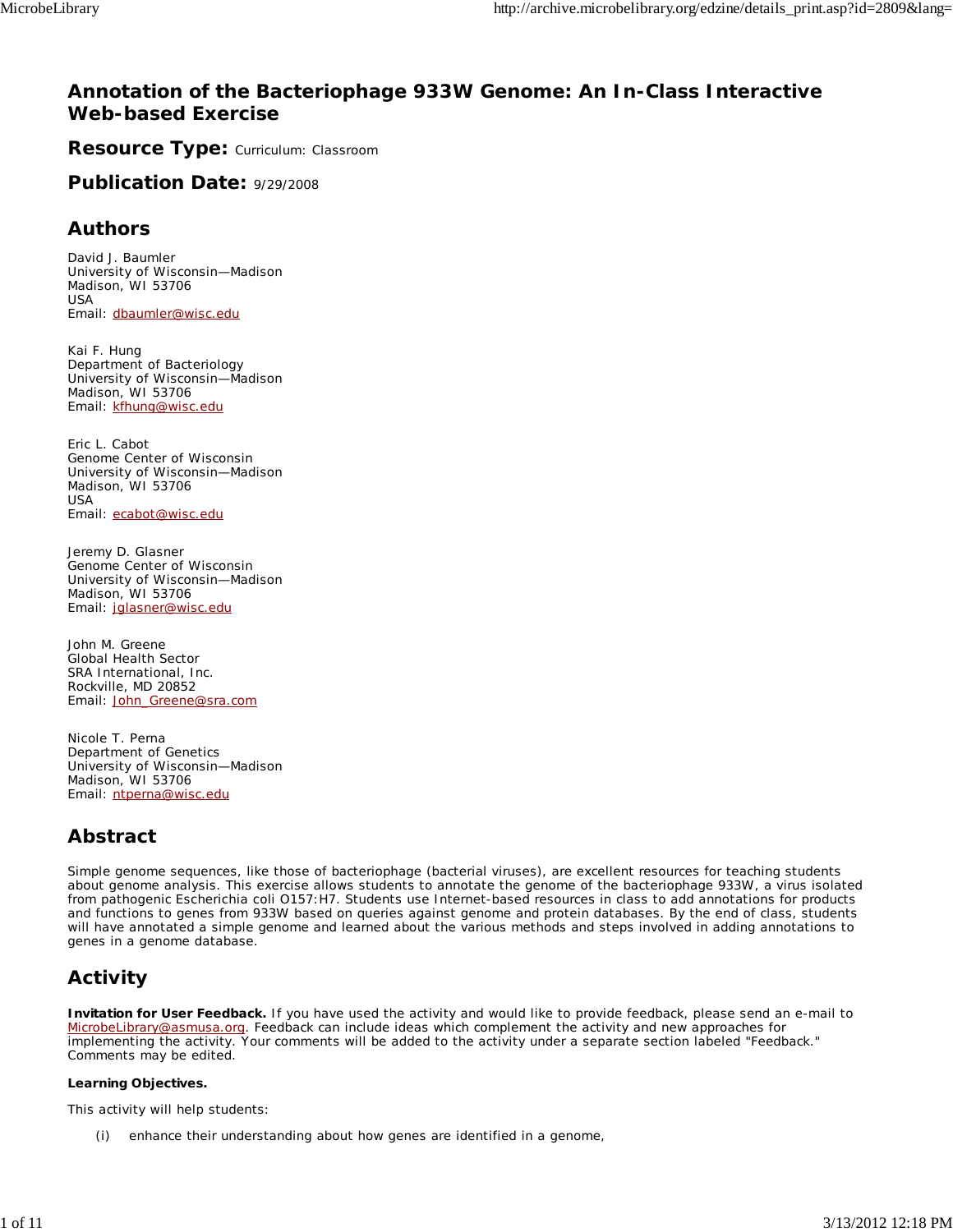## **Annotation of the Bacteriophage 933W Genome: An In-Class Interactive Web-based Exercise**

**Resource Type: Curriculum: Classroom** 

**Publication Date:** 9/29/2008

## **Authors**

*David J. Baumler* University of Wisconsin—Madison Madison, WI 53706 USA Email: dbaumler@wisc.edu

*Kai F. Hung* Department of Bacteriology University of Wisconsin—Madison Madison, WI 53706 Email: kfhung@wisc.edu

*Eric L. Cabot* Genome Center of Wisconsin University of Wisconsin—Madison Madison, WI 53706 USA Email: ecabot@wisc.edu

*Jeremy D. Glasner* Genome Center of Wisconsin University of Wisconsin—Madison Madison, WI 53706 Email: jglasner@wisc.edu

*John M. Greene* Global Health Sector SRA International, Inc. Rockville, MD 20852 Email: John\_Greene@sra.com

*Nicole T. Perna* Department of Genetics University of Wisconsin—Madison Madison, WI 53706 Email: ntperna@wisc.edu

## **Abstract**

Simple genome sequences, like those of bacteriophage (bacterial viruses), are excellent resources for teaching students about genome analysis. This exercise allows students to annotate the genome of the bacteriophage 933W, a virus isolated from pathogenic *Escherichia coli* O157:H7. Students use Internet-based resources in class to add annotations for products and functions to genes from 933W based on queries against genome and protein databases. By the end of class, students will have annotated a simple genome and learned about the various methods and steps involved in adding annotations to genes in a genome database.

# **Activity**

**Invitation for User Feedback.** If you have used the activity and would like to provide feedback, please send an e-mail to MicrobeLibrary@asmusa.org. Feedback can include ideas which complement the activity and new approaches for implementing the activity. Your comments will be added to the activity under a separate section labeled "Feedback." Comments may be edited.

### **Learning Objectives.**

This activity will help students:

(i) enhance their understanding about how genes are identified in a genome,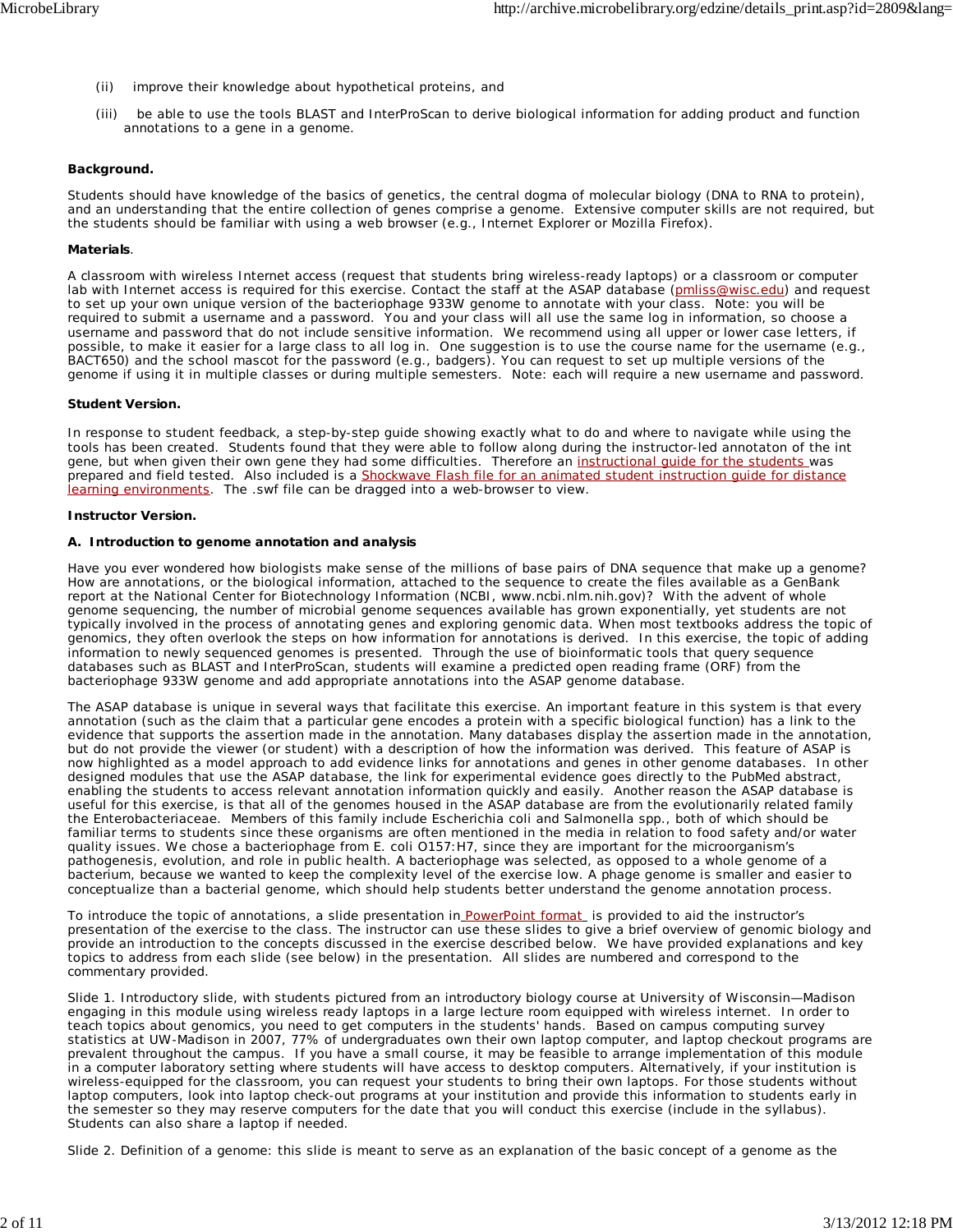- (ii) improve their knowledge about hypothetical proteins, and
- (iii) be able to use the tools BLAST and InterProScan to derive biological information for adding product and function annotations to a gene in a genome.

#### **Background.**

Students should have knowledge of the basics of genetics, the central dogma of molecular biology (DNA to RNA to protein), and an understanding that the entire collection of genes comprise a genome. Extensive computer skills are not required, but the students should be familiar with using a web browser (e.g., Internet Explorer or Mozilla Firefox).

#### **Materials**.

A classroom with wireless Internet access (request that students bring wireless-ready laptops) or a classroom or computer lab with Internet access is required for this exercise. Contact the staff at the ASAP database (pmliss@wisc.edu) and request to set up your own unique version of the bacteriophage 933W genome to annotate with your class. Note: you will be required to submit a username and a password. You and your class will all use the same log in information, so choose a username and password that do not include sensitive information. We recommend using all upper or lower case letters, if possible, to make it easier for a large class to all log in. One suggestion is to use the course name for the username (e.g., BACT650) and the school mascot for the password (e.g., badgers). You can request to set up multiple versions of the genome if using it in multiple classes or during multiple semesters. Note: each will require a new username and password.

#### **Student Version.**

In response to student feedback, a step-by-step guide showing exactly what to do and where to navigate while using the tools has been created. Students found that they were able to follow along during the instructor-led annotaton of the *int* gene, but when given their own gene they had some difficulties. Therefore an instructional guide for the students was prepared and field tested. Also included is a Shockwave Flash file for an animated student instruction guide for distance learning environments. The .swf file can be dragged into a web-browser to view.

#### **Instructor Version.**

#### **A. Introduction to genome annotation and analysis**

Have you ever wondered how biologists make sense of the millions of base pairs of DNA sequence that make up a genome? How are annotations, or the biological information, attached to the sequence to create the files available as a GenBank report at the National Center for Biotechnology Information (NCBI, www.ncbi.nlm.nih.gov)? With the advent of whole genome sequencing, the number of microbial genome sequences available has grown exponentially, yet students are not typically involved in the process of annotating genes and exploring genomic data. When most textbooks address the topic of genomics, they often overlook the steps on how information for annotations is derived. In this exercise, the topic of adding information to newly sequenced genomes is presented. Through the use of bioinformatic tools that query sequence databases such as BLAST and InterProScan, students will examine a predicted open reading frame (ORF) from the bacteriophage 933W genome and add appropriate annotations into the ASAP genome database.

The ASAP database is unique in several ways that facilitate this exercise. An important feature in this system is that every annotation (such as the claim that a particular gene encodes a protein with a specific biological function) has a link to the evidence that supports the assertion made in the annotation. Many databases display the assertion made in the annotation, but do not provide the viewer (or student) with a description of how the information was derived. This feature of ASAP is now highlighted as a model approach to add evidence links for annotations and genes in other genome databases. In other designed modules that use the ASAP database, the link for experimental evidence goes directly to the PubMed abstract, enabling the students to access relevant annotation information quickly and easily. Another reason the ASAP database is useful for this exercise, is that all of the genomes housed in the ASAP database are from the evolutionarily related family the *Enterobacteriaceae*. Members of this family include *Escherichia coli* and *Salmonella* spp., both of which should be familiar terms to students since these organisms are often mentioned in the media in relation to food safety and/or water quality issues. We chose a bacteriophage from *E. coli* O157:H7, since they are important for the microorganism's pathogenesis, evolution, and role in public health. A bacteriophage was selected, as opposed to a whole genome of a bacterium, because we wanted to keep the complexity level of the exercise low. A phage genome is smaller and easier to conceptualize than a bacterial genome, which should help students better understand the genome annotation process.

To introduce the topic of annotations, a slide presentation in PowerPoint format is provided to aid the instructor's presentation of the exercise to the class. The instructor can use these slides to give a brief overview of genomic biology and provide an introduction to the concepts discussed in the exercise described below. We have provided explanations and key topics to address from each slide (see below) in the presentation. All slides are numbered and correspond to the commentary provided.

Slide 1. Introductory slide, with students pictured from an introductory biology course at University of Wisconsin—Madison engaging in this module using wireless ready laptops in a large lecture room equipped with wireless internet. In order to teach topics about genomics, you need to get computers in the students' hands. Based on campus computing survey statistics at UW-Madison in 2007, 77% of undergraduates own their own laptop computer, and laptop checkout programs are prevalent throughout the campus. If you have a small course, it may be feasible to arrange implementation of this module in a computer laboratory setting where students will have access to desktop computers. Alternatively, if your institution is wireless-equipped for the classroom, you can request your students to bring their own laptops. For those students without laptop computers, look into laptop check-out programs at your institution and provide this information to students early in the semester so they may reserve computers for the date that you will conduct this exercise (include in the syllabus). Students can also share a laptop if needed.

Slide 2. Definition of a genome: this slide is meant to serve as an explanation of the basic concept of a genome as the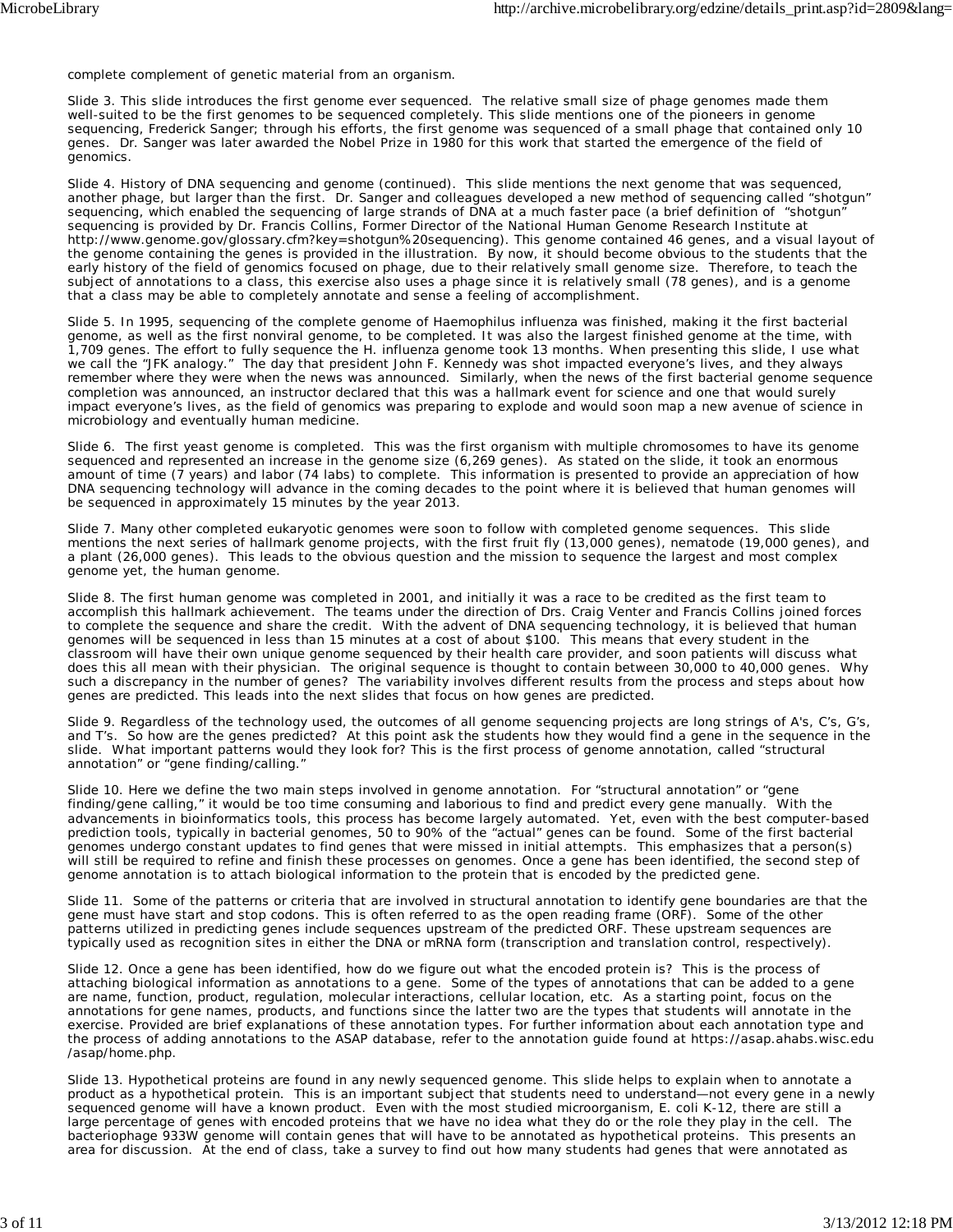complete complement of genetic material from an organism.

Slide 3. This slide introduces the first genome ever sequenced. The relative small size of phage genomes made them well-suited to be the first genomes to be sequenced completely. This slide mentions one of the pioneers in genome sequencing, Frederick Sanger; through his efforts, the first genome was sequenced of a small phage that contained only 10 genes. Dr. Sanger was later awarded the Nobel Prize in 1980 for this work that started the emergence of the field of genomics.

Slide 4. History of DNA sequencing and genome (continued). This slide mentions the next genome that was sequenced, another phage, but larger than the first. Dr. Sanger and colleagues developed a new method of sequencing called "shotgun" sequencing, which enabled the sequencing of large strands of DNA at a much faster pace (a brief definition of "shotgun" sequencing is provided by Dr. Francis Collins, Former Director of the National Human Genome Research Institute at http://www.genome.gov/glossary.cfm?key=shotgun%20sequencing). This genome contained 46 genes, and a visual layout of the genome containing the genes is provided in the illustration. By now, it should become obvious to the students that the early history of the field of genomics focused on phage, due to their relatively small genome size. Therefore, to teach the subject of annotations to a class, this exercise also uses a phage since it is relatively small (78 genes), and is a genome that a class may be able to completely annotate and sense a feeling of accomplishment.

Slide 5. In 1995, sequencing of the complete genome of *Haemophilus influenza* was finished, making it the first bacterial genome, as well as the first nonviral genome, to be completed. It was also the largest finished genome at the time, with 1,709 genes. The effort to fully sequence the *H. influenza* genome took 13 months. When presenting this slide, I use what we call the "JFK analogy." The day that president John F. Kennedy was shot impacted everyone's lives, and they always remember where they were when the news was announced. Similarly, when the news of the first bacterial genome sequence completion was announced, an instructor declared that this was a hallmark event for science and one that would surely impact everyone's lives, as the field of genomics was preparing to explode and would soon map a new avenue of science in microbiology and eventually human medicine.

Slide 6. The first yeast genome is completed. This was the first organism with multiple chromosomes to have its genome sequenced and represented an increase in the genome size (6,269 genes). As stated on the slide, it took an enormous amount of time (7 years) and labor (74 labs) to complete. This information is presented to provide an appreciation of how DNA sequencing technology will advance in the coming decades to the point where it is believed that human genomes will be sequenced in approximately 15 minutes by the year 2013.

Slide 7. Many other completed eukaryotic genomes were soon to follow with completed genome sequences. This slide mentions the next series of hallmark genome projects, with the first fruit fly (13,000 genes), nematode (19,000 genes), and a plant (26,000 genes). This leads to the obvious question and the mission to sequence the largest and most complex genome yet, the human genome.

Slide 8. The first human genome was completed in 2001, and initially it was a race to be credited as the first team to accomplish this hallmark achievement. The teams under the direction of Drs. Craig Venter and Francis Collins joined forces to complete the sequence and share the credit. With the advent of DNA sequencing technology, it is believed that human genomes will be sequenced in less than 15 minutes at a cost of about \$100. This means that every student in the classroom will have their own unique genome sequenced by their health care provider, and soon patients will discuss what does this all mean with their physician. The original sequence is thought to contain between 30,000 to 40,000 genes. Why such a discrepancy in the number of genes? The variability involves different results from the process and steps about how genes are predicted. This leads into the next slides that focus on how genes are predicted.

Slide 9. Regardless of the technology used, the outcomes of all genome sequencing projects are long strings of A's, C's, G's, and T's. So how are the genes predicted? At this point ask the students how they would find a gene in the sequence in the slide. What important patterns would they look for? This is the first process of genome annotation, called "structural annotation" or "gene finding/calling."

Slide 10. Here we define the two main steps involved in genome annotation. For "structural annotation" or "gene finding/gene calling," it would be too time consuming and laborious to find and predict every gene manually. With the advancements in bioinformatics tools, this process has become largely automated. Yet, even with the best computer-based prediction tools, typically in bacterial genomes, 50 to 90% of the "actual" genes can be found. Some of the first bacterial genomes undergo constant updates to find genes that were missed in initial attempts. This emphasizes that a person(s) will still be required to refine and finish these processes on genomes. Once a gene has been identified, the second step of genome annotation is to attach biological information to the protein that is encoded by the predicted gene.

Slide 11. Some of the patterns or criteria that are involved in structural annotation to identify gene boundaries are that the gene must have start and stop codons. This is often referred to as the open reading frame (ORF). Some of the other patterns utilized in predicting genes include sequences upstream of the predicted ORF. These upstream sequences are typically used as recognition sites in either the DNA or mRNA form (transcription and translation control, respectively).

Slide 12. Once a gene has been identified, how do we figure out what the encoded protein is? This is the process of attaching biological information as annotations to a gene. Some of the types of annotations that can be added to a gene are name, function, product, regulation, molecular interactions, cellular location, etc. As a starting point, focus on the annotations for gene names, products, and functions since the latter two are the types that students will annotate in the exercise. Provided are brief explanations of these annotation types. For further information about each annotation type and the process of adding annotations to the ASAP database, refer to the annotation guide found at https://asap.ahabs.wisc.edu /asap/home.php.

Slide 13. Hypothetical proteins are found in any newly sequenced genome. This slide helps to explain when to annotate a product as a hypothetical protein. This is an important subject that students need to understand—not every gene in a newly sequenced genome will have a known product. Even with the most studied microorganism, *E. coli* K-12, there are still a large percentage of genes with encoded proteins that we have no idea what they do or the role they play in the cell. The bacteriophage 933W genome will contain genes that will have to be annotated as hypothetical proteins. This presents an area for discussion. At the end of class, take a survey to find out how many students had genes that were annotated as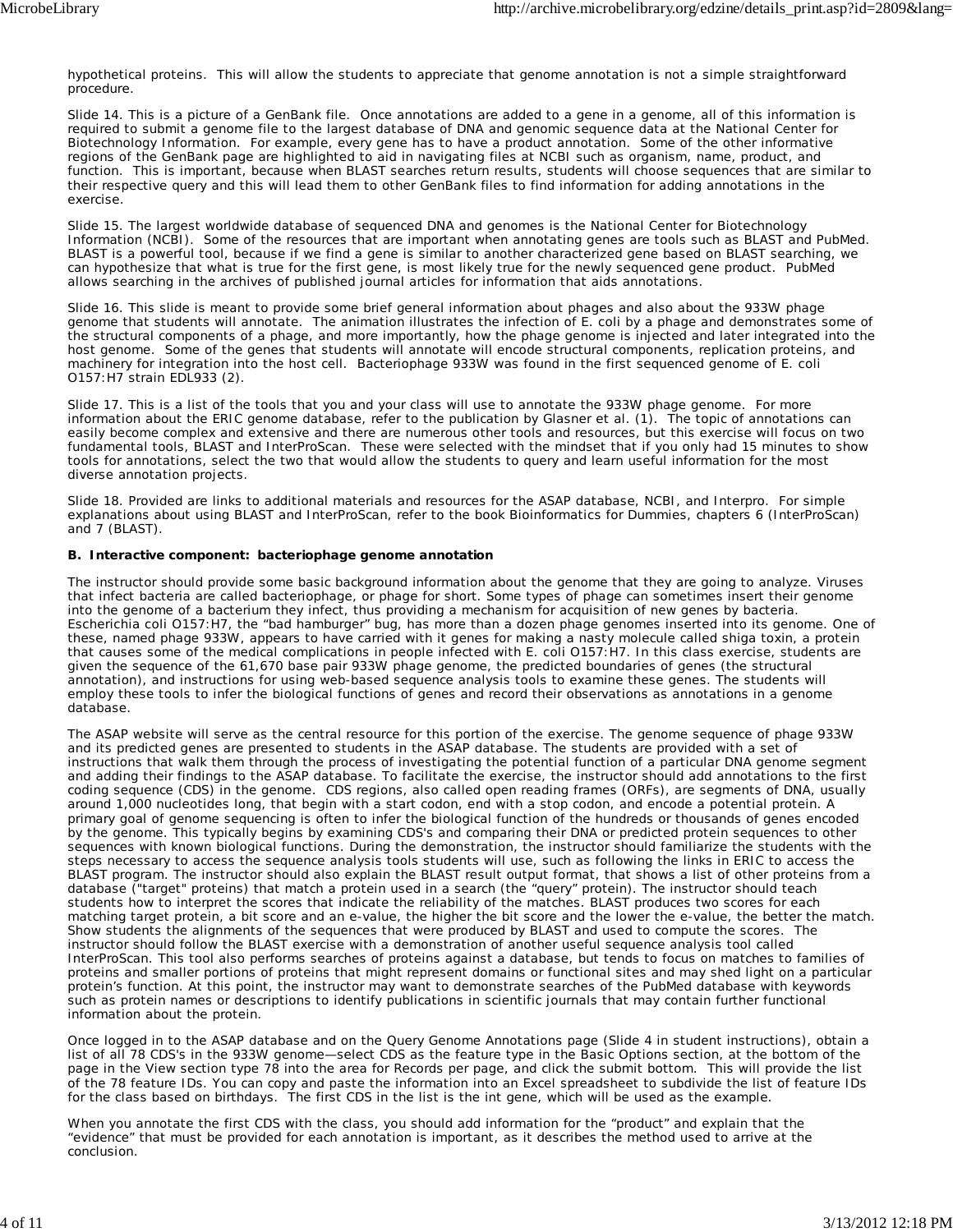hypothetical proteins. This will allow the students to appreciate that genome annotation is not a simple straightforward procedure.

Slide 14. This is a picture of a GenBank file. Once annotations are added to a gene in a genome, all of this information is required to submit a genome file to the largest database of DNA and genomic sequence data at the National Center for Biotechnology Information. For example, every gene has to have a product annotation. Some of the other informative regions of the GenBank page are highlighted to aid in navigating files at NCBI such as organism, name, product, and function. This is important, because when BLAST searches return results, students will choose sequences that are similar to their respective query and this will lead them to other GenBank files to find information for adding annotations in the exercise.

Slide 15. The largest worldwide database of sequenced DNA and genomes is the National Center for Biotechnology Information (NCBI). Some of the resources that are important when annotating genes are tools such as BLAST and PubMed. BLAST is a powerful tool, because if we find a gene is similar to another characterized gene based on BLAST searching, we can hypothesize that what is true for the first gene, is most likely true for the newly sequenced gene product. PubMed allows searching in the archives of published journal articles for information that aids annotations.

Slide 16. This slide is meant to provide some brief general information about phages and also about the 933W phage genome that students will annotate. The animation illustrates the infection of *E. coli* by a phage and demonstrates some of the structural components of a phage, and more importantly, how the phage genome is injected and later integrated into the host genome. Some of the genes that students will annotate will encode structural components, replication proteins, and machinery for integration into the host cell. Bacteriophage 933W was found in the first sequenced genome of *E. coli* O157:H7 strain EDL933 (2).

Slide 17. This is a list of the tools that you and your class will use to annotate the 933W phage genome. For more information about the ERIC genome database, refer to the publication by Glasner et al. (1). The topic of annotations can easily become complex and extensive and there are numerous other tools and resources, but this exercise will focus on two fundamental tools, BLAST and InterProScan. These were selected with the mindset that if you only had 15 minutes to show tools for annotations, select the two that would allow the students to query and learn useful information for the most diverse annotation projects.

Slide 18. Provided are links to additional materials and resources for the ASAP database, NCBI, and Interpro. For simple explanations about using BLAST and InterProScan, refer to the book *Bioinformatics for Dummies,* chapters 6 (InterProScan) and 7 (BLAST).

#### **B. Interactive component: bacteriophage genome annotation**

The instructor should provide some basic background information about the genome that they are going to analyze. Viruses that infect bacteria are called bacteriophage, or phage for short. Some types of phage can sometimes insert their genome into the genome of a bacterium they infect, thus providing a mechanism for acquisition of new genes by bacteria. *Escherichia coli* O157:H7, the "bad hamburger" bug, has more than a dozen phage genomes inserted into its genome. One of these, named phage 933W, appears to have carried with it genes for making a nasty molecule called shiga toxin, a protein that causes some of the medical complications in people infected with *E. coli* O157:H7. In this class exercise, students are given the sequence of the 61,670 base pair 933W phage genome, the predicted boundaries of genes (the structural annotation), and instructions for using web-based sequence analysis tools to examine these genes. The students will employ these tools to infer the biological functions of genes and record their observations as annotations in a genome database.

The ASAP website will serve as the central resource for this portion of the exercise. The genome sequence of phage 933W and its predicted genes are presented to students in the ASAP database. The students are provided with a set of instructions that walk them through the process of investigating the potential function of a particular DNA genome segment and adding their findings to the ASAP database. To facilitate the exercise, the instructor should add annotations to the first coding sequence (CDS) in the genome. CDS regions, also called open reading frames (ORFs), are segments of DNA, usually around 1,000 nucleotides long, that begin with a start codon, end with a stop codon, and encode a potential protein. A primary goal of genome sequencing is often to infer the biological function of the hundreds or thousands of genes encoded by the genome. This typically begins by examining CDS's and comparing their DNA or predicted protein sequences to other sequences with known biological functions. During the demonstration, the instructor should familiarize the students with the steps necessary to access the sequence analysis tools students will use, such as following the links in ERIC to access the BLAST program. The instructor should also explain the BLAST result output format, that shows a list of other proteins from a database ("target" proteins) that match a protein used in a search (the "query" protein). The instructor should teach students how to interpret the scores that indicate the reliability of the matches. BLAST produces two scores for each matching target protein, a bit score and an e-value, the higher the bit score and the lower the e-value, the better the match. Show students the alignments of the sequences that were produced by BLAST and used to compute the scores. The instructor should follow the BLAST exercise with a demonstration of another useful sequence analysis tool called InterProScan. This tool also performs searches of proteins against a database, but tends to focus on matches to families of proteins and smaller portions of proteins that might represent domains or functional sites and may shed light on a particular protein's function. At this point, the instructor may want to demonstrate searches of the PubMed database with keywords such as protein names or descriptions to identify publications in scientific journals that may contain further functional information about the protein.

Once logged in to the ASAP database and on the Query Genome Annotations page (Slide 4 in student instructions), obtain a list of all 78 CDS's in the 933W genome—select CDS as the feature type in the Basic Options section, at the bottom of the page in the View section type 78 into the area for Records per page, and click the submit bottom. This will provide the list of the 78 feature IDs. You can copy and paste the information into an Excel spreadsheet to subdivide the list of feature IDs for the class based on birthdays. The first CDS in the list is the *int* gene, which will be used as the example.

When you annotate the first CDS with the class, you should add information for the "product" and explain that the "evidence" that must be provided for each annotation is important, as it describes the method used to arrive at the conclusion.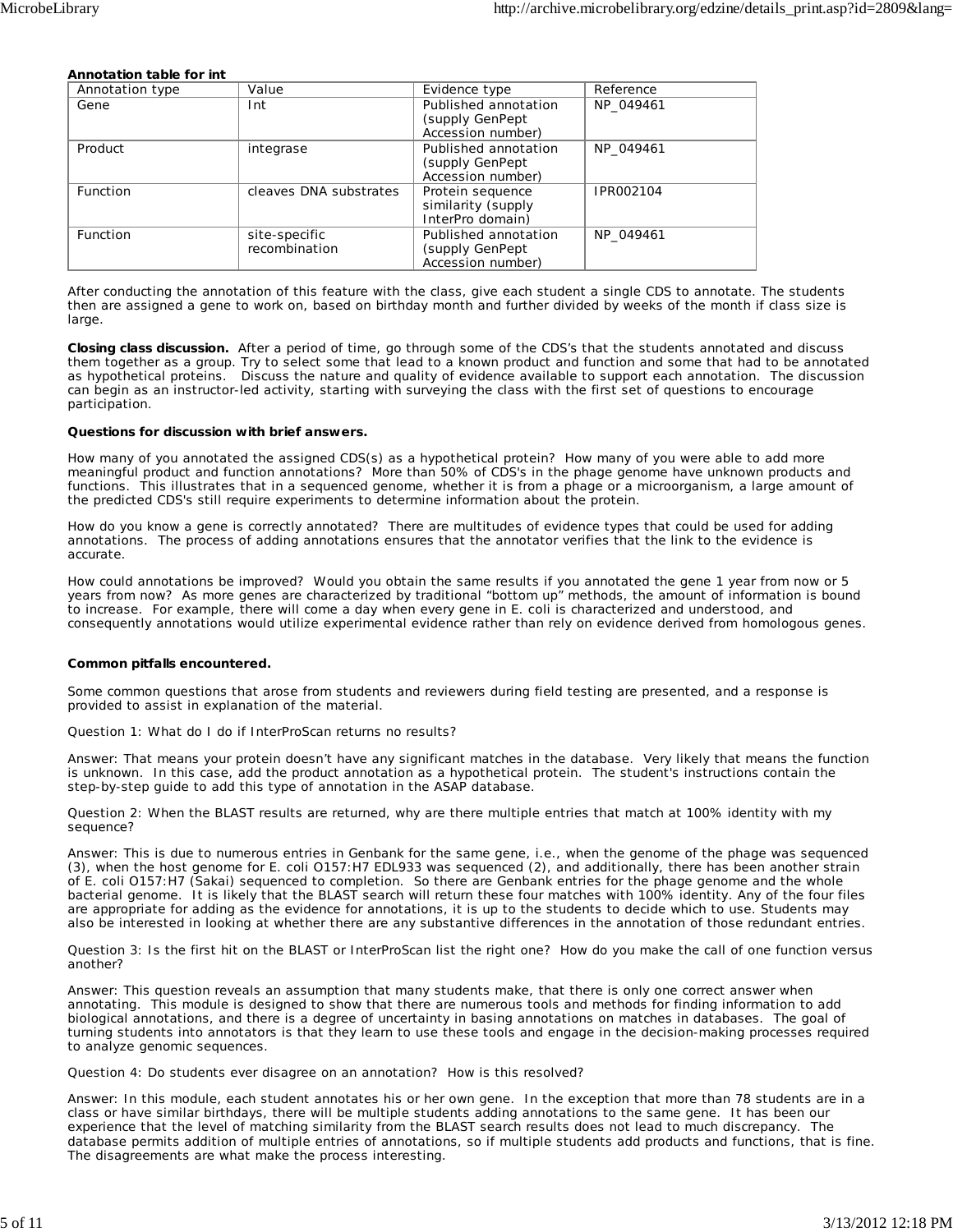#### **Annotation table for** *int*

| Annotation type | Value                  | Evidence type        | Reference |
|-----------------|------------------------|----------------------|-----------|
| Gene            | Int                    | Published annotation | NP 049461 |
|                 |                        | (supply GenPept)     |           |
|                 |                        | Accession number)    |           |
| Product         | integrase              | Published annotation | NP 049461 |
|                 |                        | (supply GenPept)     |           |
|                 |                        | Accession number)    |           |
| <b>Function</b> | cleaves DNA substrates | Protein sequence     | IPR002104 |
|                 |                        | similarity (supply   |           |
|                 |                        | InterPro domain)     |           |
| <b>Function</b> | site-specific          | Published annotation | NP 049461 |
|                 | recombination          | (supply GenPept)     |           |
|                 |                        | Accession number)    |           |

After conducting the annotation of this feature with the class, give each student a single CDS to annotate. The students then are assigned a gene to work on, based on birthday month and further divided by weeks of the month if class size is large.

**Closing class discussion.** After a period of time, go through some of the CDS's that the students annotated and discuss them together as a group. Try to select some that lead to a known product and function and some that had to be annotated as hypothetical proteins. Discuss the nature and quality of evidence available to support each annotation. The discussion can begin as an instructor-led activity, starting with surveying the class with the first set of questions to encourage participation.

#### **Questions for discussion with brief answers.**

How many of you annotated the assigned CDS(s) as a hypothetical protein? How many of you were able to add more meaningful product and function annotations? More than 50% of CDS's in the phage genome have unknown products and functions. This illustrates that in a sequenced genome, whether it is from a phage or a microorganism, a large amount of the predicted CDS's still require experiments to determine information about the protein.

How do you know a gene is correctly annotated? There are multitudes of evidence types that could be used for adding annotations. The process of adding annotations ensures that the annotator verifies that the link to the evidence is accurate.

How could annotations be improved? Would you obtain the same results if you annotated the gene 1 year from now or 5 years from now? As more genes are characterized by traditional "bottom up" methods, the amount of information is bound to increase. For example, there will come a day when every gene in *E. coli* is characterized and understood, and consequently annotations would utilize experimental evidence rather than rely on evidence derived from homologous genes.

#### **Common pitfalls encountered.**

Some common questions that arose from students and reviewers during field testing are presented, and a response is provided to assist in explanation of the material.

Question 1: What do I do if InterProScan returns no results?

Answer: That means your protein doesn't have any significant matches in the database. Very likely that means the function is unknown. In this case, add the product annotation as a hypothetical protein. The student's instructions contain the step-by-step guide to add this type of annotation in the ASAP database.

Question 2: When the BLAST results are returned, why are there multiple entries that match at 100% identity with my sequence?

Answer: This is due to numerous entries in Genbank for the same gene, i.e., when the genome of the phage was sequenced (3), when the host genome for *E. coli* O157:H7 EDL933 was sequenced (2), and additionally, there has been another strain of *E. coli* O157:H7 (Sakai) sequenced to completion. So there are Genbank entries for the phage genome and the whole bacterial genome. It is likely that the BLAST search will return these four matches with 100% identity. Any of the four files are appropriate for adding as the evidence for annotations, it is up to the students to decide which to use. Students may also be interested in looking at whether there are any substantive differences in the annotation of those redundant entries.

Question 3: Is the first hit on the BLAST or InterProScan list the right one? How do you make the call of one function versus another?

Answer: This question reveals an assumption that many students make, that there is only one correct answer when annotating. This module is designed to show that there are numerous tools and methods for finding information to add biological annotations, and there is a degree of uncertainty in basing annotations on matches in databases. The goal of turning students into annotators is that they learn to use these tools and engage in the decision-making processes required to analyze genomic sequences.

Question 4: Do students ever disagree on an annotation? How is this resolved?

Answer: In this module, each student annotates his or her own gene. In the exception that more than 78 students are in a class or have similar birthdays, there will be multiple students adding annotations to the same gene. It has been our experience that the level of matching similarity from the BLAST search results does not lead to much discrepancy. The database permits addition of multiple entries of annotations, so if multiple students add products and functions, that is fine. The disagreements are what make the process interesting.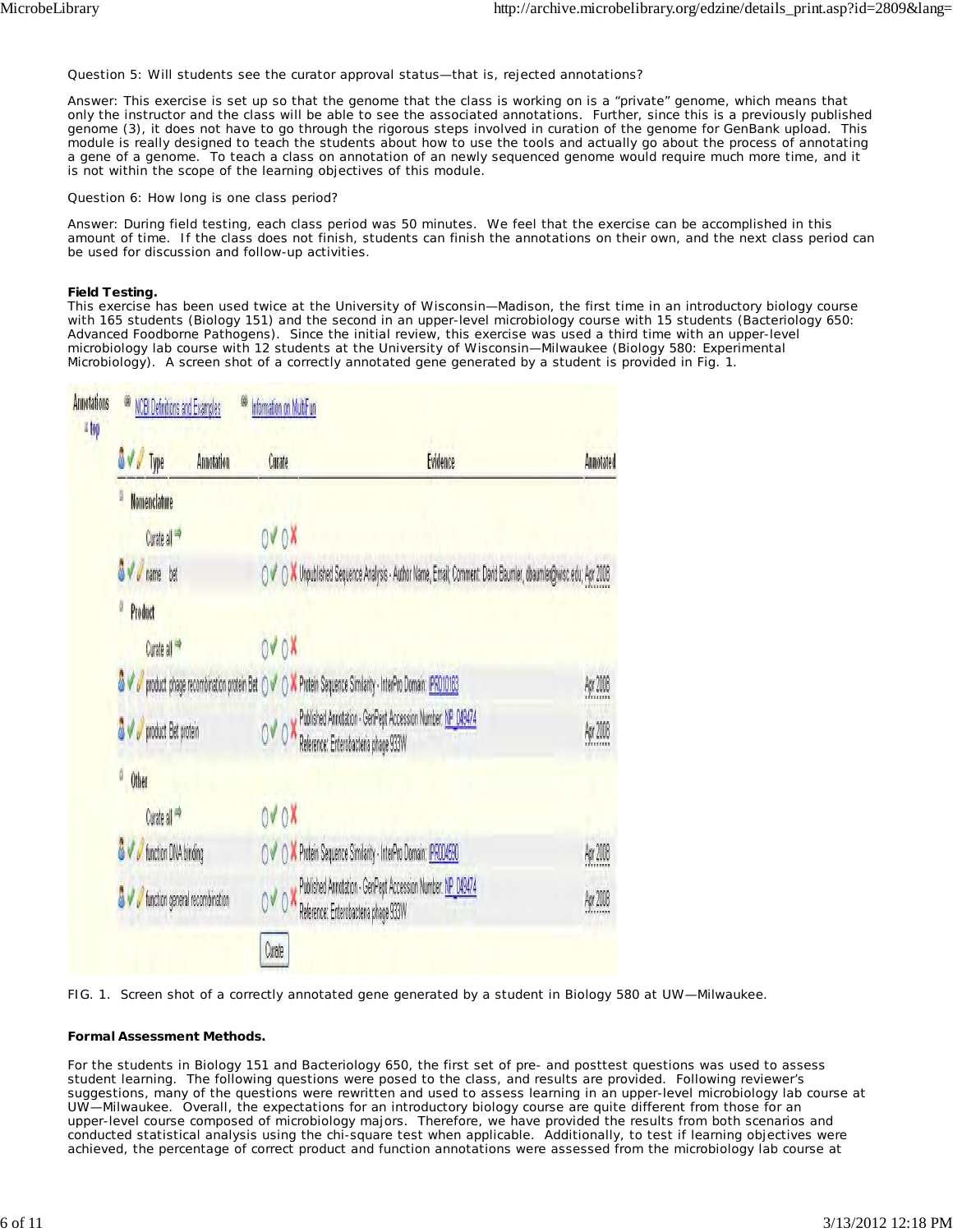Question 5: Will students see the curator approval status—that is, rejected annotations?

Answer: This exercise is set up so that the genome that the class is working on is a "private" genome, which means that only the instructor and the class will be able to see the associated annotations. Further, since this is a previously published genome (3), it does not have to go through the rigorous steps involved in curation of the genome for GenBank upload. This module is really designed to teach the students about how to use the tools and actually go about the process of annotating a gene of a genome. To teach a class on annotation of an newly sequenced genome would require much more time, and it is not within the scope of the learning objectives of this module.

Question 6: How long is one class period?

Answer: During field testing, each class period was 50 minutes. We feel that the exercise can be accomplished in this amount of time. If the class does not finish, students can finish the annotations on their own, and the next class period can be used for discussion and follow-up activities.

#### **Field Testing.**

This exercise has been used twice at the University of Wisconsin—Madison, the first time in an introductory biology course with 165 students (Biology 151) and the second in an upper-level microbiology course with 15 students (Bacteriology 650: Advanced Foodborne Pathogens). Since the initial review, this exercise was used a third time with an upper-level microbiology lab course with 12 students at the University of Wisconsin—Milwaukee (Biology 580: Experimental Microbiology). A screen shot of a correctly annotated gene generated by a student is provided in Fig. 1.



FIG. 1. Screen shot of a correctly annotated gene generated by a student in Biology 580 at UW—Milwaukee.

#### **Formal Assessment Methods.**

For the students in Biology 151 and Bacteriology 650, the first set of pre- and posttest questions was used to assess student learning. The following questions were posed to the class, and results are provided. Following reviewer's suggestions, many of the questions were rewritten and used to assess learning in an upper-level microbiology lab course at UW—Milwaukee. Overall, the expectations for an introductory biology course are quite different from those for an upper-level course composed of microbiology majors. Therefore, we have provided the results from both scenarios and conducted statistical analysis using the chi-square test when applicable. Additionally, to test if learning objectives were achieved, the percentage of correct product and function annotations were assessed from the microbiology lab course at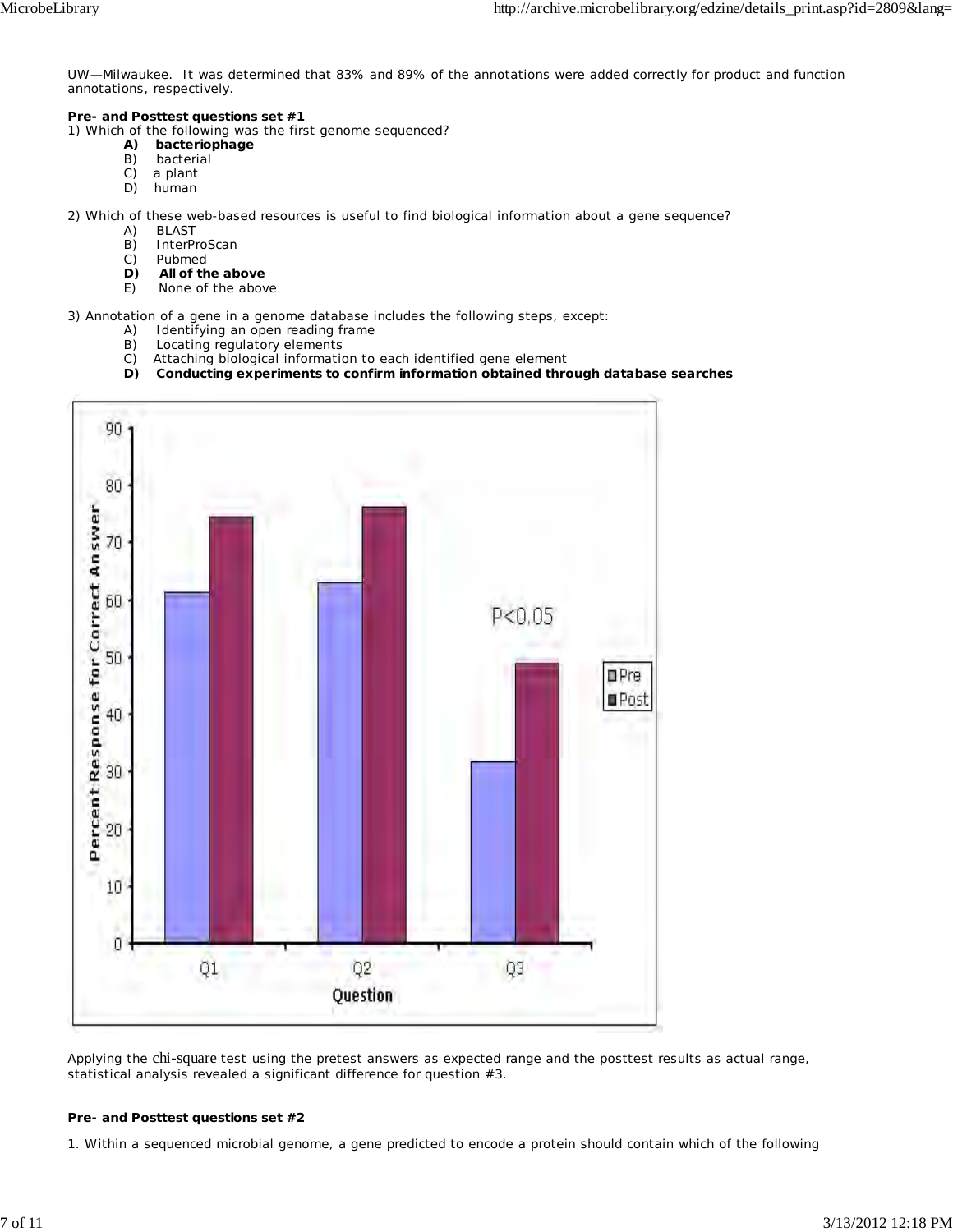UW—Milwaukee. It was determined that 83% and 89% of the annotations were added correctly for product and function annotations, respectively.

## **Pre- and Posttest questions set #1**

1) Which of the following was the first genome sequenced?

- **A) bacteriophage**
- B) bacterial<br>C) a plant
- a plant
- D) human

2) Which of these web-based resources is useful to find biological information about a gene sequence?

- A) BLAST
- B) InterProScan
- C) Pubmed
- **D) All of the above**
- E) None of the above

3) Annotation of a gene in a genome database includes the following steps, except:

- A) Identifying an open reading frame
- B) Locating regulatory elements
- C) Attaching biological information to each identified gene element
- **D) Conducting experiments to confirm information obtained through database searches**



Applying the chi-square test using the pretest answers as expected range and the posttest results as actual range, statistical analysis revealed a significant difference for question #3.

#### **Pre- and Posttest questions set #2**

1. Within a sequenced microbial genome, a gene predicted to encode a protein should contain which of the following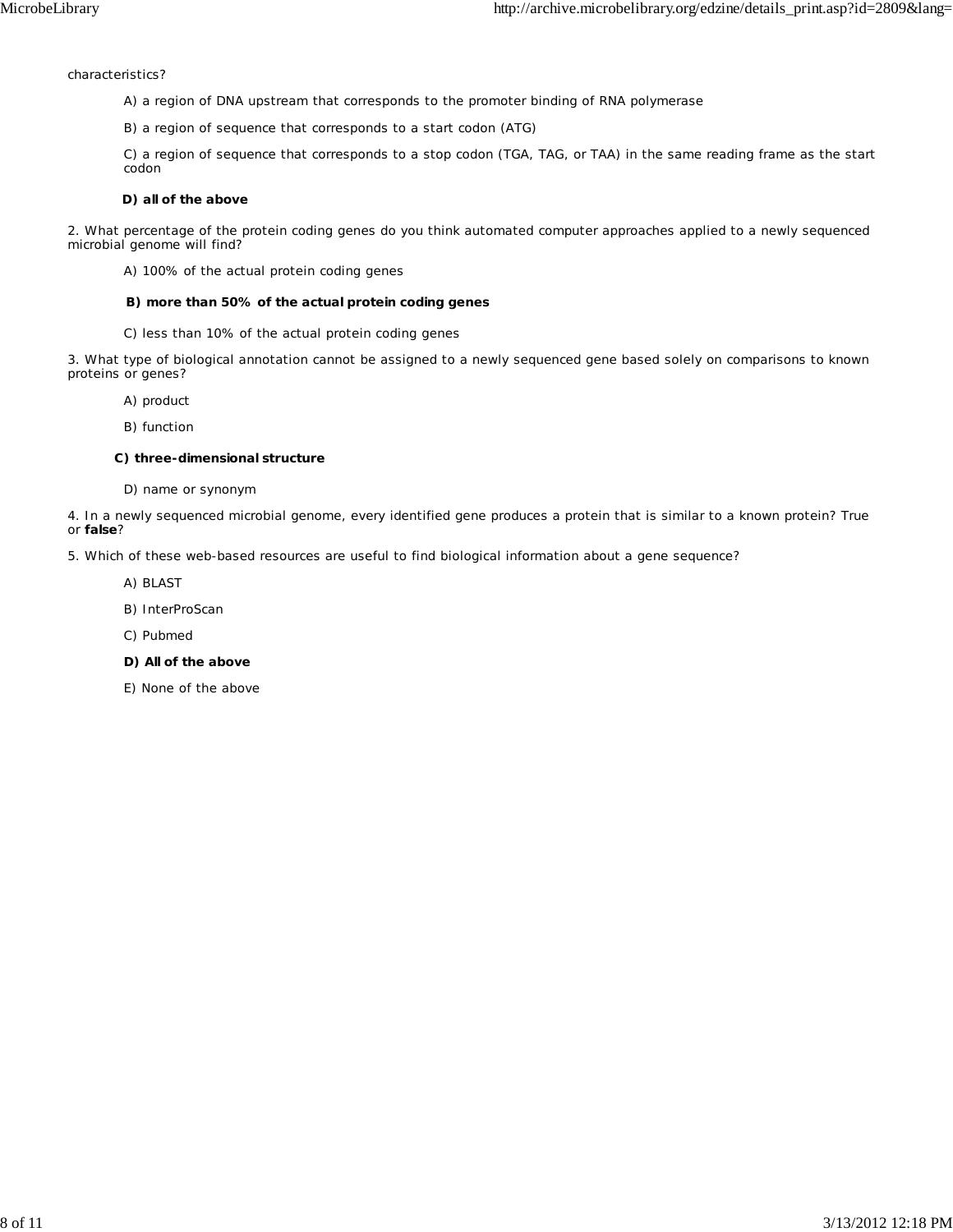characteristics?

- A) a region of DNA upstream that corresponds to the promoter binding of RNA polymerase
- B) a region of sequence that corresponds to a start codon (ATG)

C) a region of sequence that corresponds to a stop codon (TGA, TAG, or TAA) in the same reading frame as the start codon

### **D) all of the above**

2. What percentage of the protein coding genes do you think automated computer approaches applied to a newly sequenced microbial genome will find?

A) 100% of the actual protein coding genes

#### **B) more than 50% of the actual protein coding genes**

C) less than 10% of the actual protein coding genes

3. What type of biological annotation cannot be assigned to a newly sequenced gene based solely on comparisons to known proteins or genes?

- A) product
- B) function

### **C) three-dimensional structure**

D) name or synonym

4. In a newly sequenced microbial genome, every identified gene produces a protein that is similar to a known protein? True or **false**?

5. Which of these web-based resources are useful to find biological information about a gene sequence?

- A) BLAST
- B) InterProScan
- C) Pubmed
- **D) All of the above**
- E) None of the above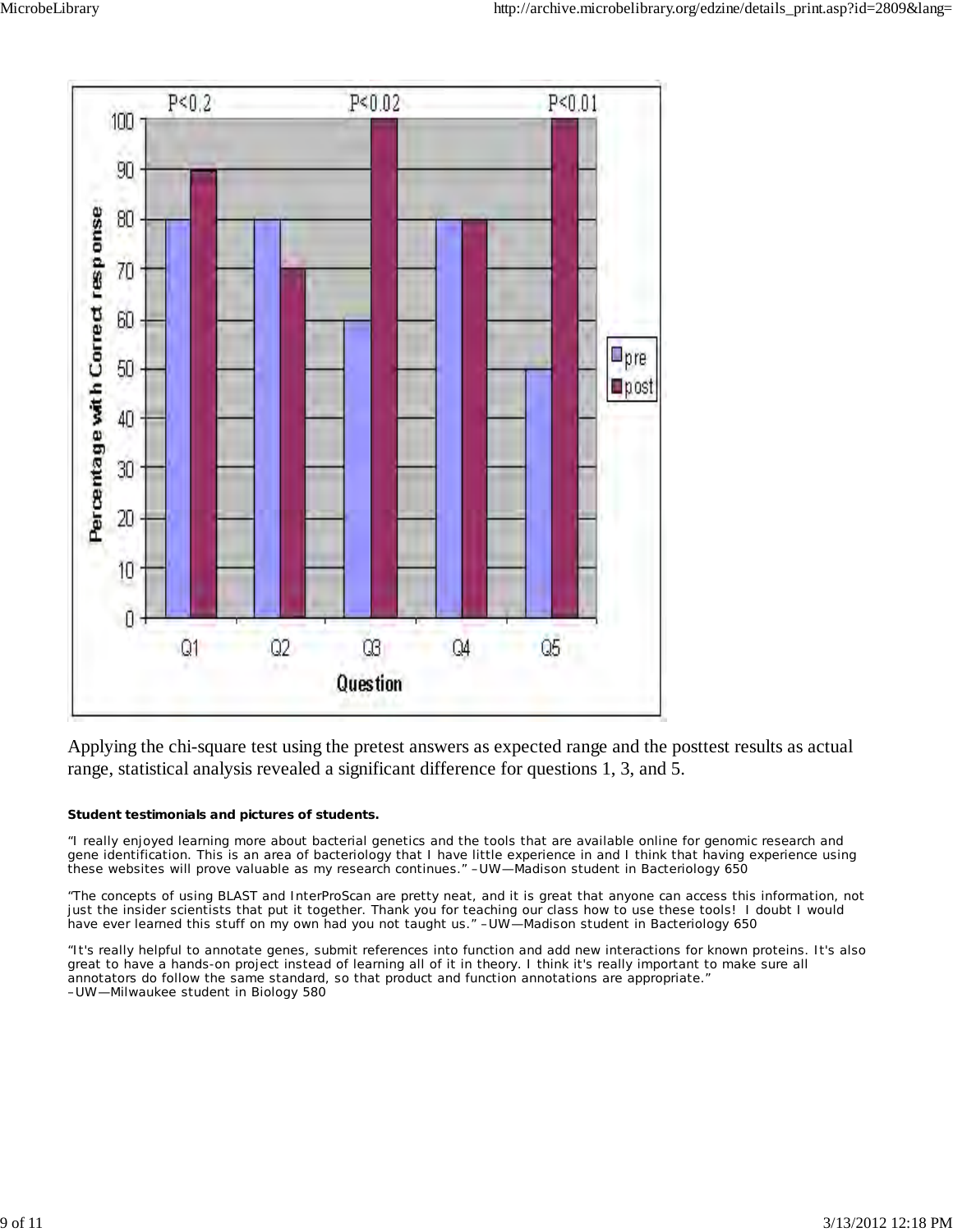

Applying the chi-square test using the pretest answers as expected range and the posttest results as actual range, statistical analysis revealed a significant difference for questions 1, 3, and 5.

## **Student testimonials and pictures of students.**

"I really enjoyed learning more about bacterial genetics and the tools that are available online for genomic research and gene identification. This is an area of bacteriology that I have little experience in and I think that having experience using these websites will prove valuable as my research continues." –UW—Madison student in Bacteriology 650

"The concepts of using BLAST and InterProScan are pretty neat, and it is great that anyone can access this information, not just the insider scientists that put it together. Thank you for teaching our class how to use these tools! I doubt I would have ever learned this stuff on my own had you not taught us." –UW—Madison student in Bacteriology 650

"It's really helpful to annotate genes, submit references into function and add new interactions for known proteins. It's also great to have a hands-on project instead of learning all of it in theory. I think it's really important to make sure all annotators do follow the same standard, so that product and function annotations are appropriate." –UW—Milwaukee student in Biology 580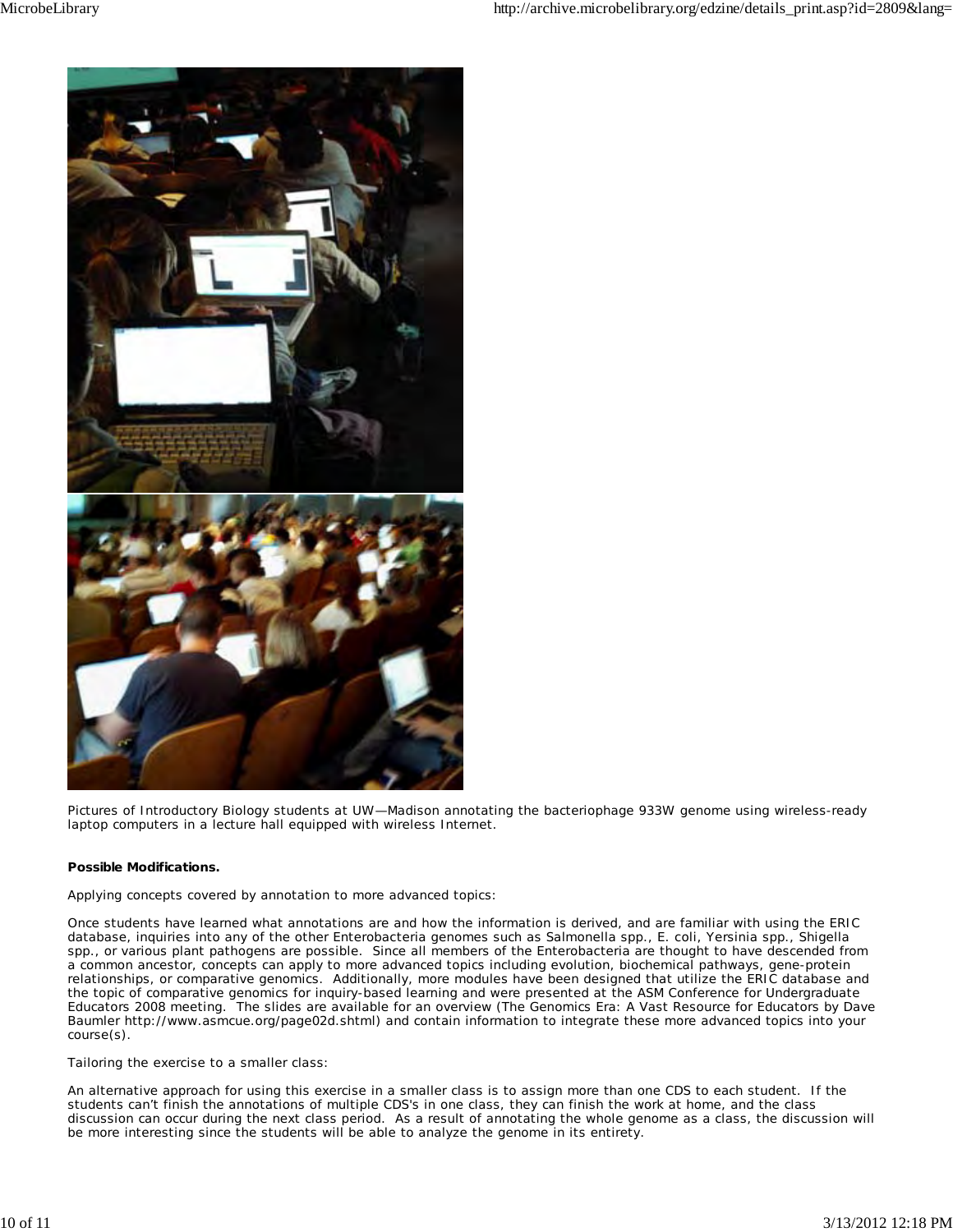

Pictures of Introductory Biology students at UW—Madison annotating the bacteriophage 933W genome using wireless-ready laptop computers in a lecture hall equipped with wireless Internet.

### **Possible Modifications.**

Applying concepts covered by annotation to more advanced topics:

Once students have learned what annotations are and how the information is derived, and are familiar with using the ERIC database, inquiries into any of the other *Enterobacteria* genomes such as *Salmonella* spp., *E. coli*, *Yersinia* spp., *Shigella* spp., or various plant pathogens are possible. Since all members of the *Enterobacteria* are thought to have descended from a common ancestor, concepts can apply to more advanced topics including evolution, biochemical pathways, gene-protein relationships, or comparative genomics. Additionally, more modules have been designed that utilize the ERIC database and the topic of comparative genomics for inquiry-based learning and were presented at the ASM Conference for Undergraduate Educators 2008 meeting. The slides are available for an overview (The Genomics Era: A Vast Resource for Educators by Dave Baumler http://www.asmcue.org/page02d.shtml) and contain information to integrate these more advanced topics into your course(s).

Tailoring the exercise to a smaller class:

An alternative approach for using this exercise in a smaller class is to assign more than one CDS to each student. If the students can't finish the annotations of multiple CDS's in one class, they can finish the work at home, and the class discussion can occur during the next class period. As a result of annotating the whole genome as a class, the discussion will be more interesting since the students will be able to analyze the genome in its entirety.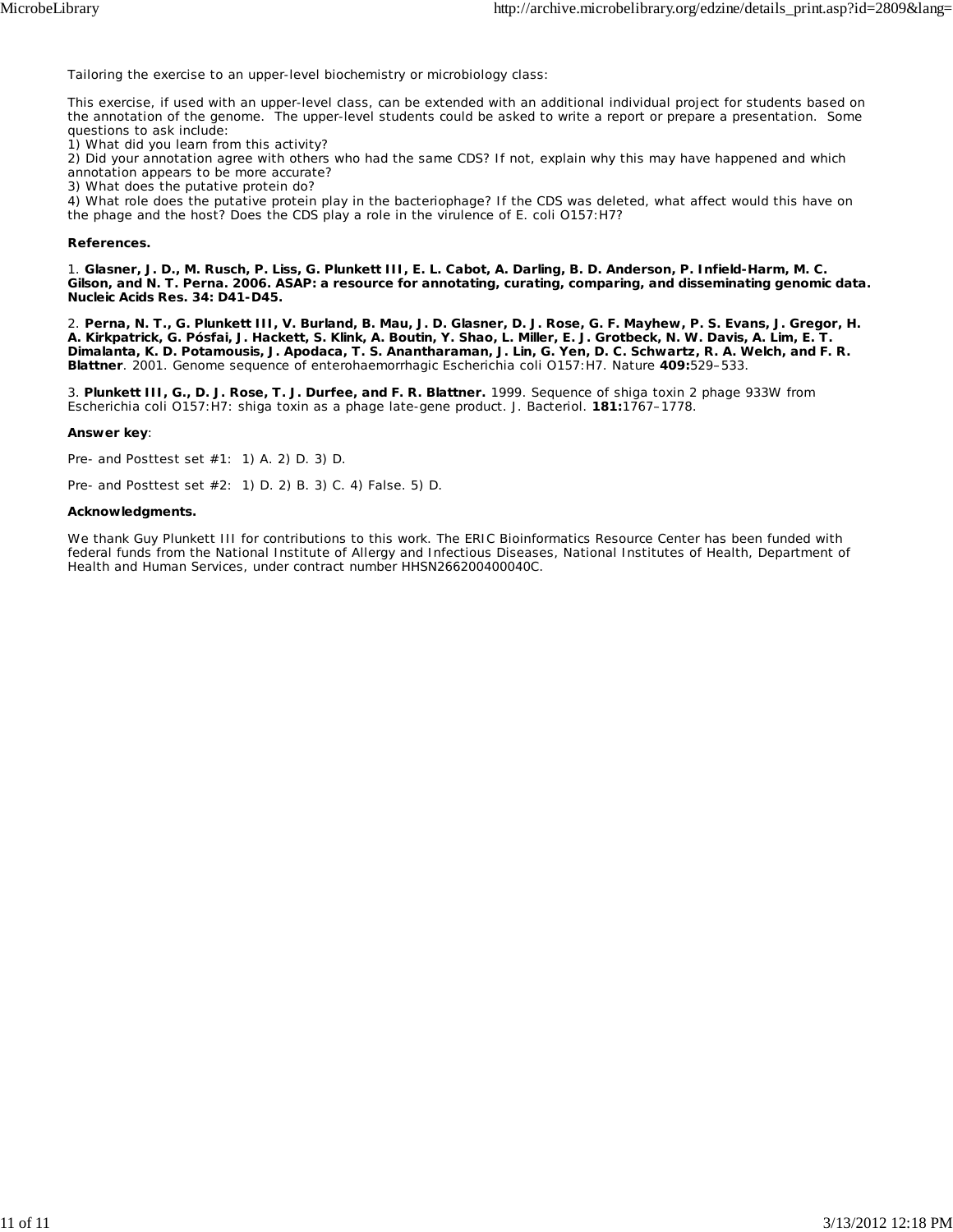Tailoring the exercise to an upper-level biochemistry or microbiology class:

This exercise, if used with an upper-level class, can be extended with an additional individual project for students based on the annotation of the genome. The upper-level students could be asked to write a report or prepare a presentation. Some questions to ask include:

1) What did you learn from this activity?

2) Did your annotation agree with others who had the same CDS? If not, explain why this may have happened and which annotation appears to be more accurate?

3) What does the putative protein do?

4) What role does the putative protein play in the bacteriophage? If the CDS was deleted, what affect would this have on the phage and the host? Does the CDS play a role in the virulence of *E. coli* O157:H7?

#### **References.**

1. **Glasner, J. D., M. Rusch, P. Liss, G. Plunkett III, E. L. Cabot, A. Darling, B. D. Anderson, P. Infield-Harm, M. C. Gilson, and N. T. Perna. 2006. ASAP: a resource for annotating, curating, comparing, and disseminating genomic data. Nucleic Acids Res. 34: D41-D45.**

2. **Perna, N. T., G. Plunkett III, V. Burland, B. Mau, J. D. Glasner, D. J. Rose, G. F. Mayhew, P. S. Evans, J. Gregor, H. A. Kirkpatrick, G. Pósfai, J. Hackett, S. Klink, A. Boutin, Y. Shao, L. Miller, E. J. Grotbeck, N. W. Davis, A. Lim, E. T. Dimalanta, K. D. Potamousis, J. Apodaca, T. S. Anantharaman, J. Lin, G. Yen, D. C. Schwartz, R. A. Welch, and F. R. Blattner**. 2001. Genome sequence of enterohaemorrhagic *Escherichia coli* O157:H7. Nature **409:**529–533.

3. **Plunkett III, G., D. J. Rose, T. J. Durfee, and F. R. Blattner.** 1999. Sequence of shiga toxin 2 phage 933W from *Escherichia coli* O157:H7: shiga toxin as a phage late-gene product. J. Bacteriol. **181:**1767–1778.

#### **Answer key**:

Pre- and Posttest set #1: 1) A. 2) D. 3) D.

Pre- and Posttest set #2: 1) D. 2) B. 3) C. 4) False. 5) D.

#### **Acknowledgments.**

We thank Guy Plunkett III for contributions to this work. The ERIC Bioinformatics Resource Center has been funded with federal funds from the National Institute of Allergy and Infectious Diseases, National Institutes of Health, Department of Health and Human Services, under contract number HHSN266200400040C.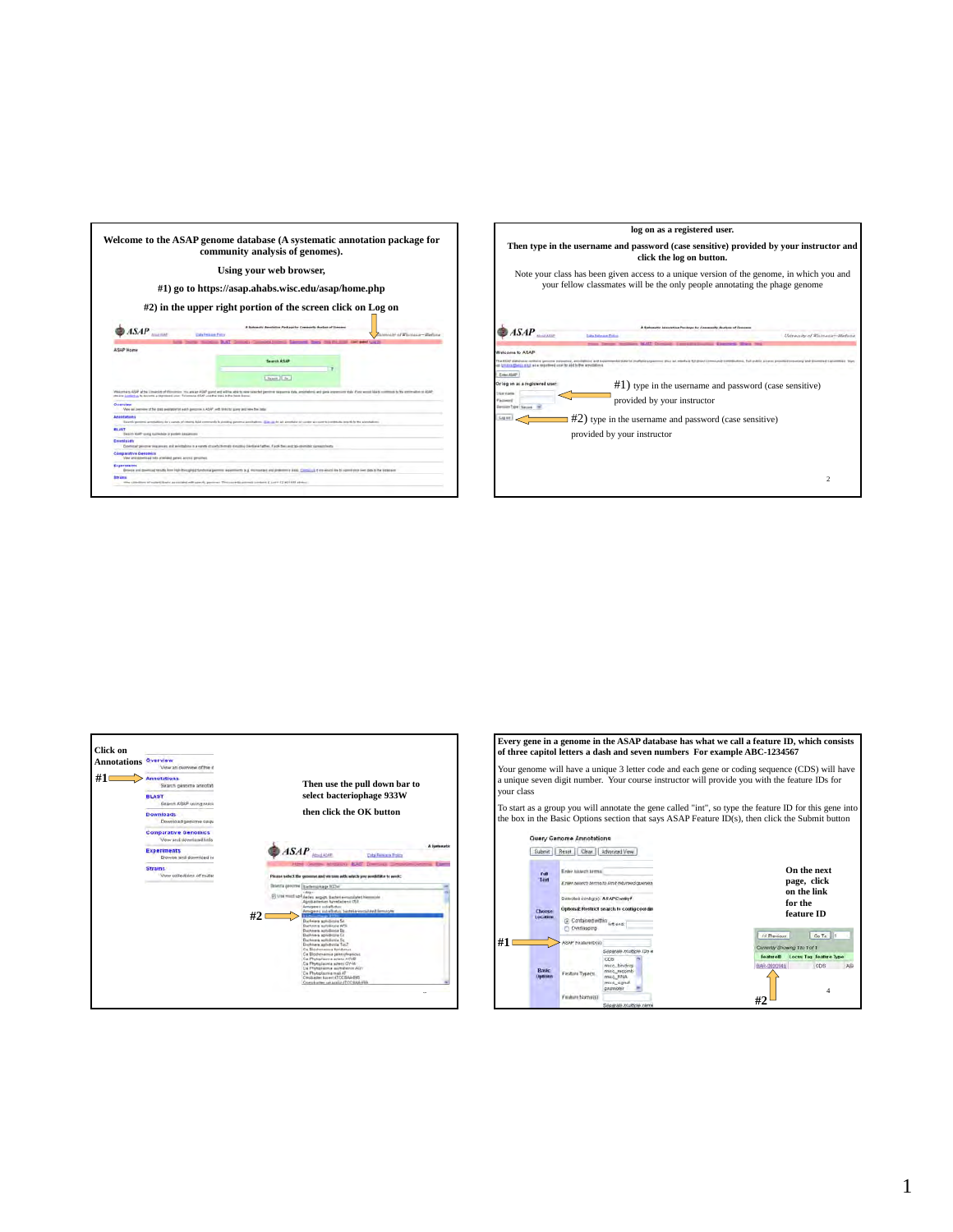





**Every gene in a genome in the ASAP database has what we call a feature ID, which consists of three capitol letters a dash and seven numbers For example ABC-1234567**

Your genome will have a unique 3 letter code and each gene or coding sequence (CDS) will have a unique seven digit number. Your course instructor will provide you with the feature IDs for your class

To start as a group you will annotate the gene called "int", so type the feature ID for this gene into the box in the Basic Options section that says ASAP Feature ID(s), then click the Submit button

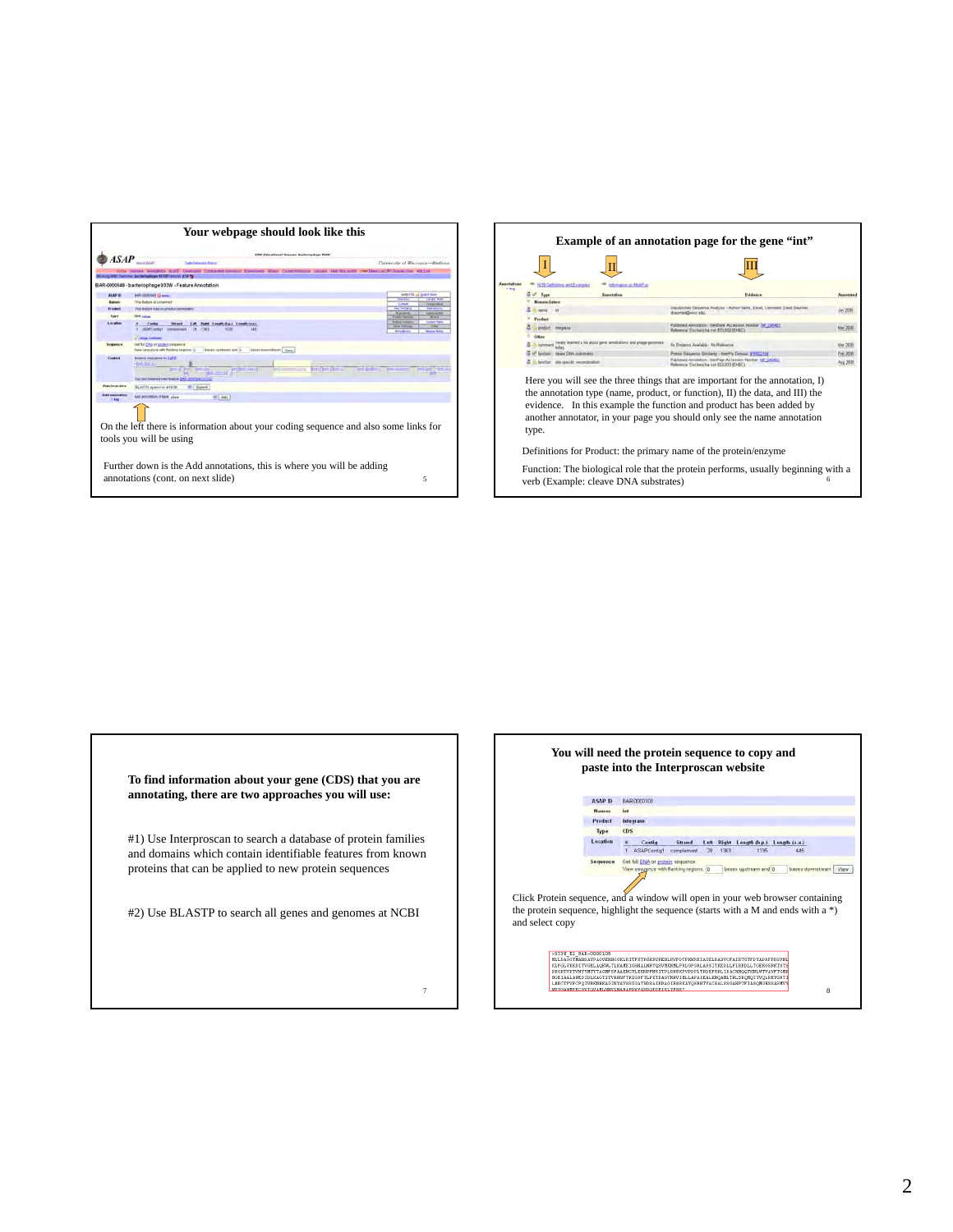

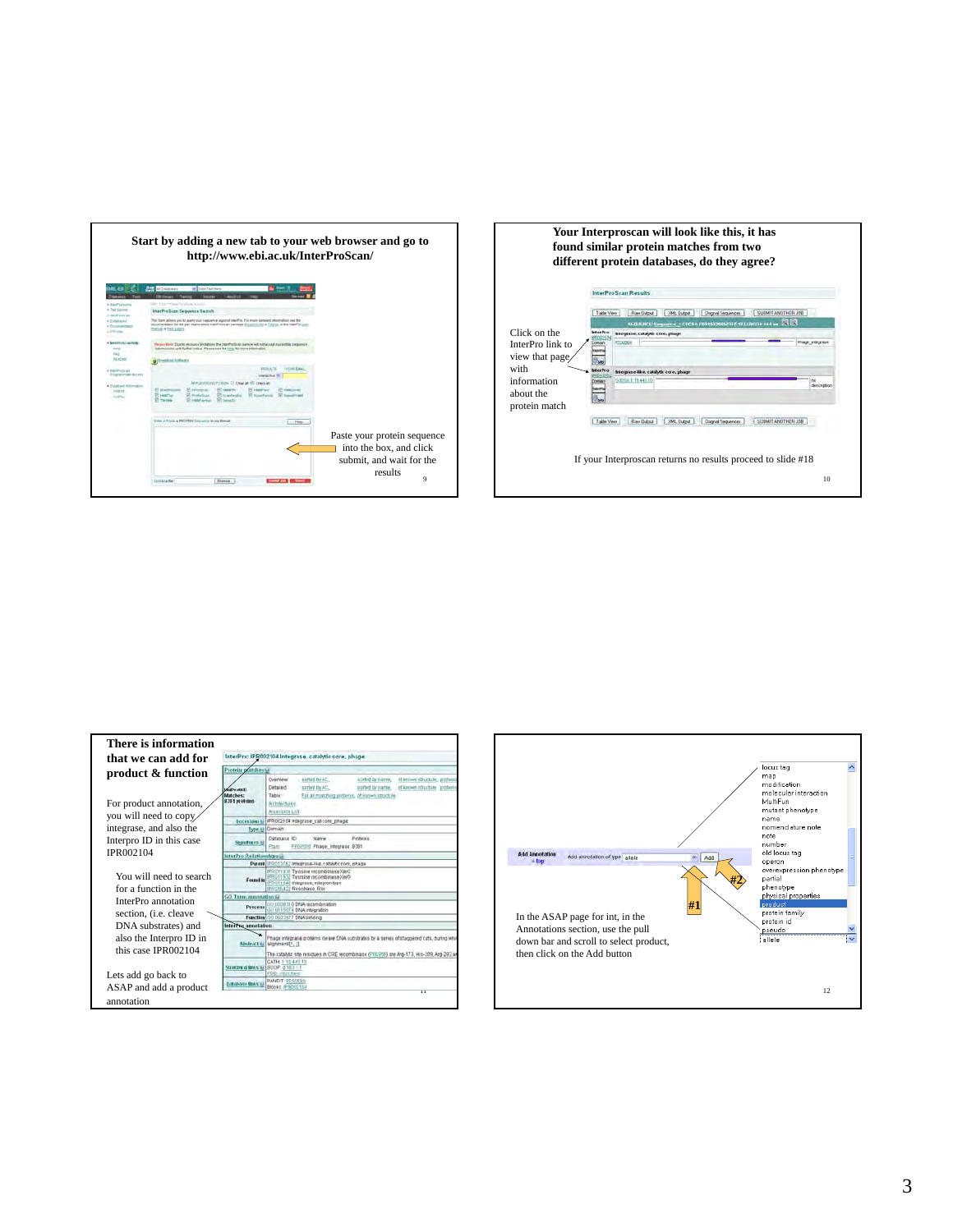

| r and go to                                                            | Your Interproscan will look like this, it has<br>found similar protein matches from two<br>different protein databases, do they agree?                                                                                                                                                                                                                                                                                                                                          |  |
|------------------------------------------------------------------------|---------------------------------------------------------------------------------------------------------------------------------------------------------------------------------------------------------------------------------------------------------------------------------------------------------------------------------------------------------------------------------------------------------------------------------------------------------------------------------|--|
|                                                                        | <b>InterProScan Results</b>                                                                                                                                                                                                                                                                                                                                                                                                                                                     |  |
|                                                                        | SUBMIT ANOTHER JOB<br>Table View<br><b>Raw Dutout</b><br><b>JOHL Dutput</b><br>Disginal Sequences<br>SI QUI HCI: Seguence 1 CRC61; F601532545C51 F11 LI RG11E 444 au B B B<br>Click on the<br><b>InterPro</b><br>Integrase, catalytic core, phase-<br>950260<br><b>Theor infection</b><br>Dominin<br>InterPro link to<br>view that page<br>with<br>desPro<br>Integrase-like, catalytic core, phage<br>0305A11044310<br>information<br>dencription<br>about the<br>protein match |  |
| protein sequence<br>box, and click<br>and wait for the<br>results<br>9 | Rae Dubid<br><b>20ML Dulput</b><br>SUBMIT ANOTHER JOB<br>Table View<br>Digital Seguences<br>If your Interproscan returns no results proceed to slide #18<br>10                                                                                                                                                                                                                                                                                                                  |  |



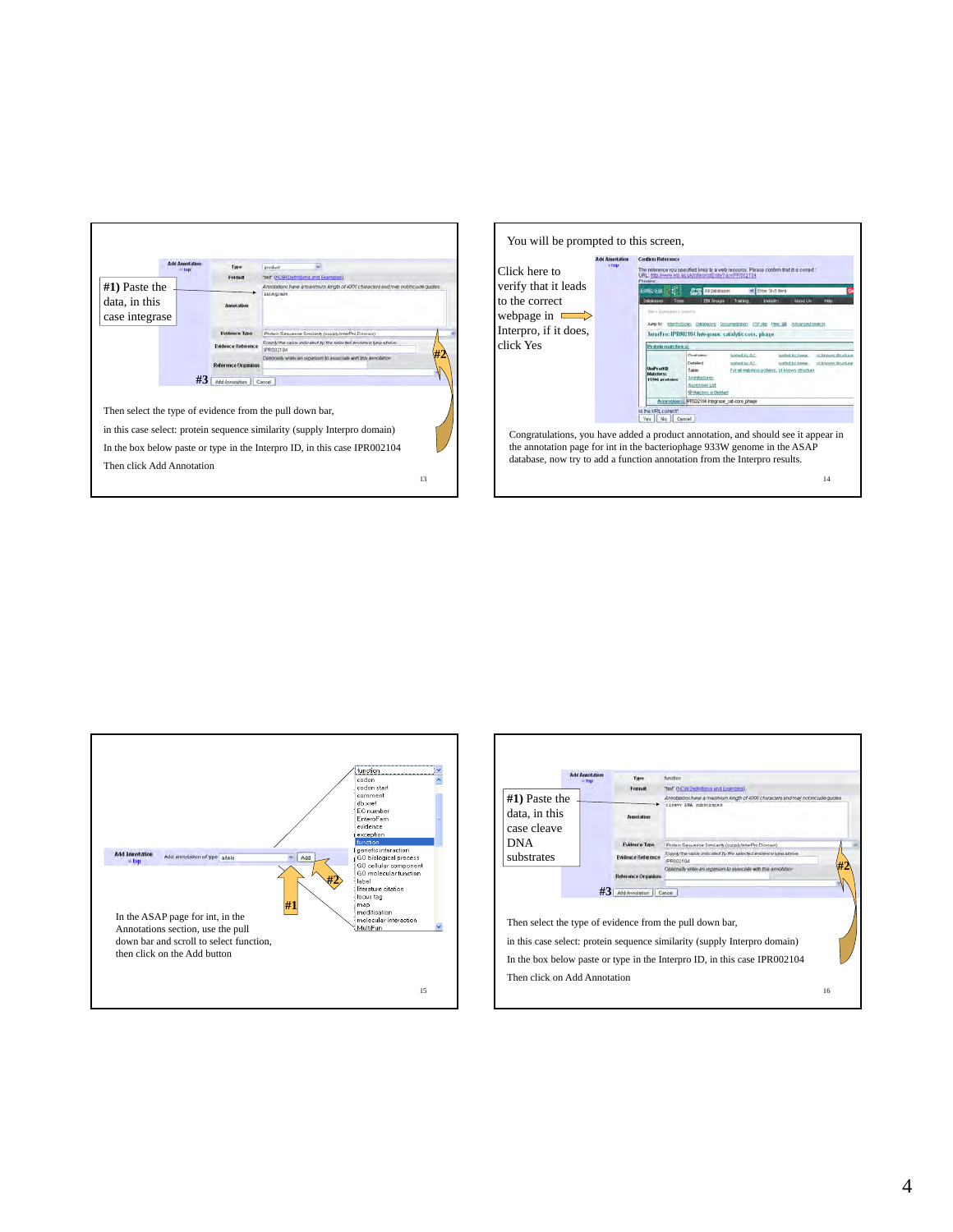| Formut<br><b>ANGELIA INSURA</b><br><b>EVidence Type</b> | "fext" (NCB) Definitions and Examples)<br>Annotations have a maximum length of 4000 characters and may not include quotes<br>integrass<br>Protein Sequence Smillanty (supply InterPro Domain)                      |
|---------------------------------------------------------|--------------------------------------------------------------------------------------------------------------------------------------------------------------------------------------------------------------------|
|                                                         |                                                                                                                                                                                                                    |
|                                                         |                                                                                                                                                                                                                    |
|                                                         |                                                                                                                                                                                                                    |
|                                                         |                                                                                                                                                                                                                    |
| <b>Evidence Reference</b>                               | Supply the value indicated by the selected avidance fine above<br>UPR002104                                                                                                                                        |
| Reference Dramism                                       | Optionsily write an organism to associate with this annotation                                                                                                                                                     |
| #3<br>Add Announce-                                     | Cancel .                                                                                                                                                                                                           |
|                                                         | Then select the type of evidence from the pull down bar,<br>in this case select: protein sequence similarity (supply Interpro domain)<br>In the box below paste or type in the Interpro ID, in this case IPR002104 |
|                                                         |                                                                                                                                                                                                                    |





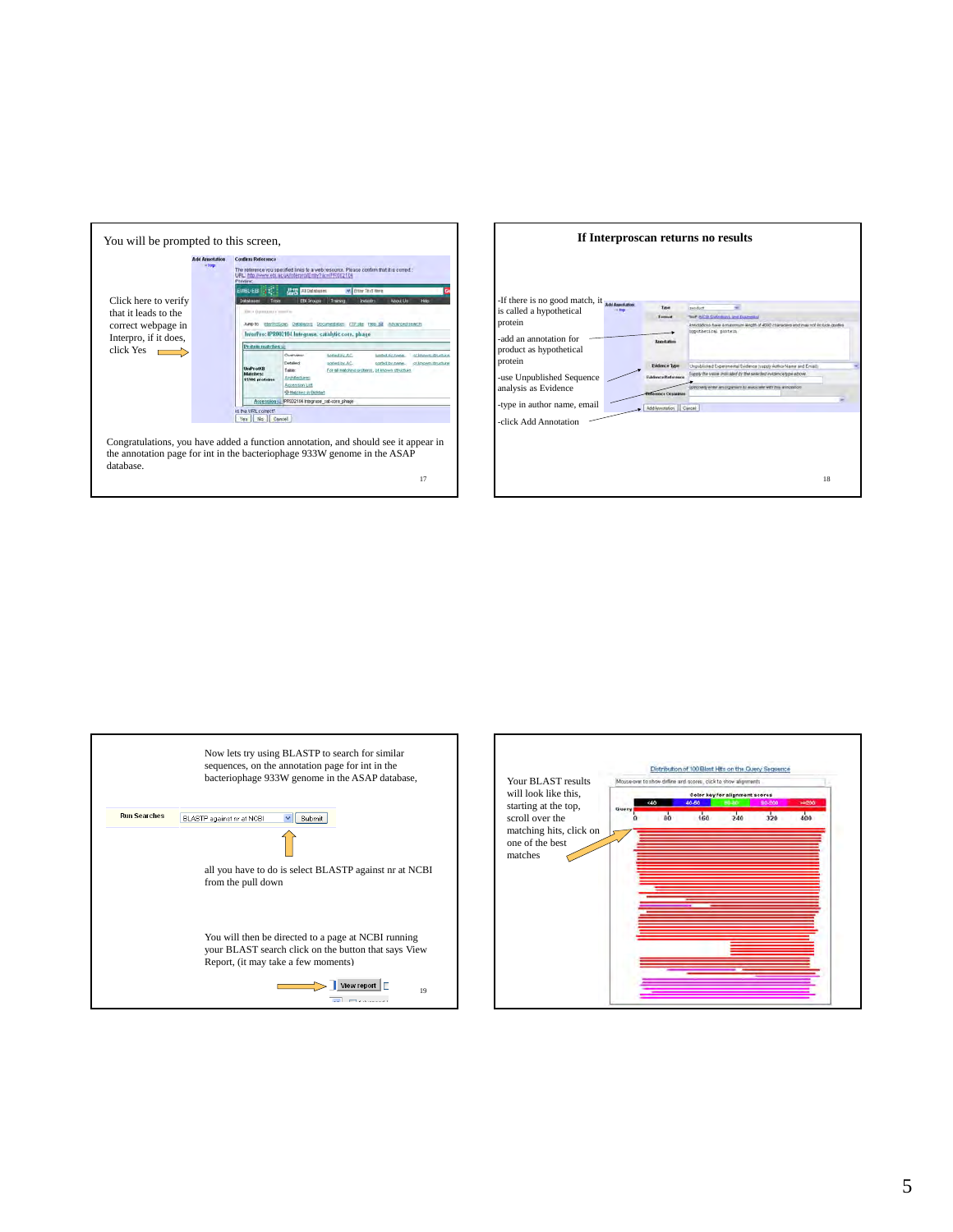

|                                                            |                 |                         | If Interproscan returns no results                                                                                    |  |
|------------------------------------------------------------|-----------------|-------------------------|-----------------------------------------------------------------------------------------------------------------------|--|
| -If there is no good match, it<br>is called a hypothetical | <b>ITE FRAM</b> | Type                    | sedut                                                                                                                 |  |
| protein                                                    |                 | <b>Tanzand</b>          | Test WCD Different and Conversed<br>Annotadono fueve a manomum length of 4000 characters and imair not include guotes |  |
| -add an annotation for<br>product as hypothetical          |                 | Arguidadium             | iquothetical protein                                                                                                  |  |
| protein                                                    |                 | <b>Fundingce Type</b>   | thaublished Experimental Exidence (supply Author Name and Email:                                                      |  |
| -use Unpublished Sequence                                  |                 | Euklence Reference      | Dupply the value included by the selected instance type above.                                                        |  |
| analysis as Evidence                                       |                 | clerence Oraussus       | Component until riber wie codes of manages on were gleaned of                                                         |  |
| -type in author name, email                                |                 | Add Annotation   Cancel |                                                                                                                       |  |
| -click Add Annotation                                      |                 |                         |                                                                                                                       |  |
|                                                            |                 |                         | 18                                                                                                                    |  |



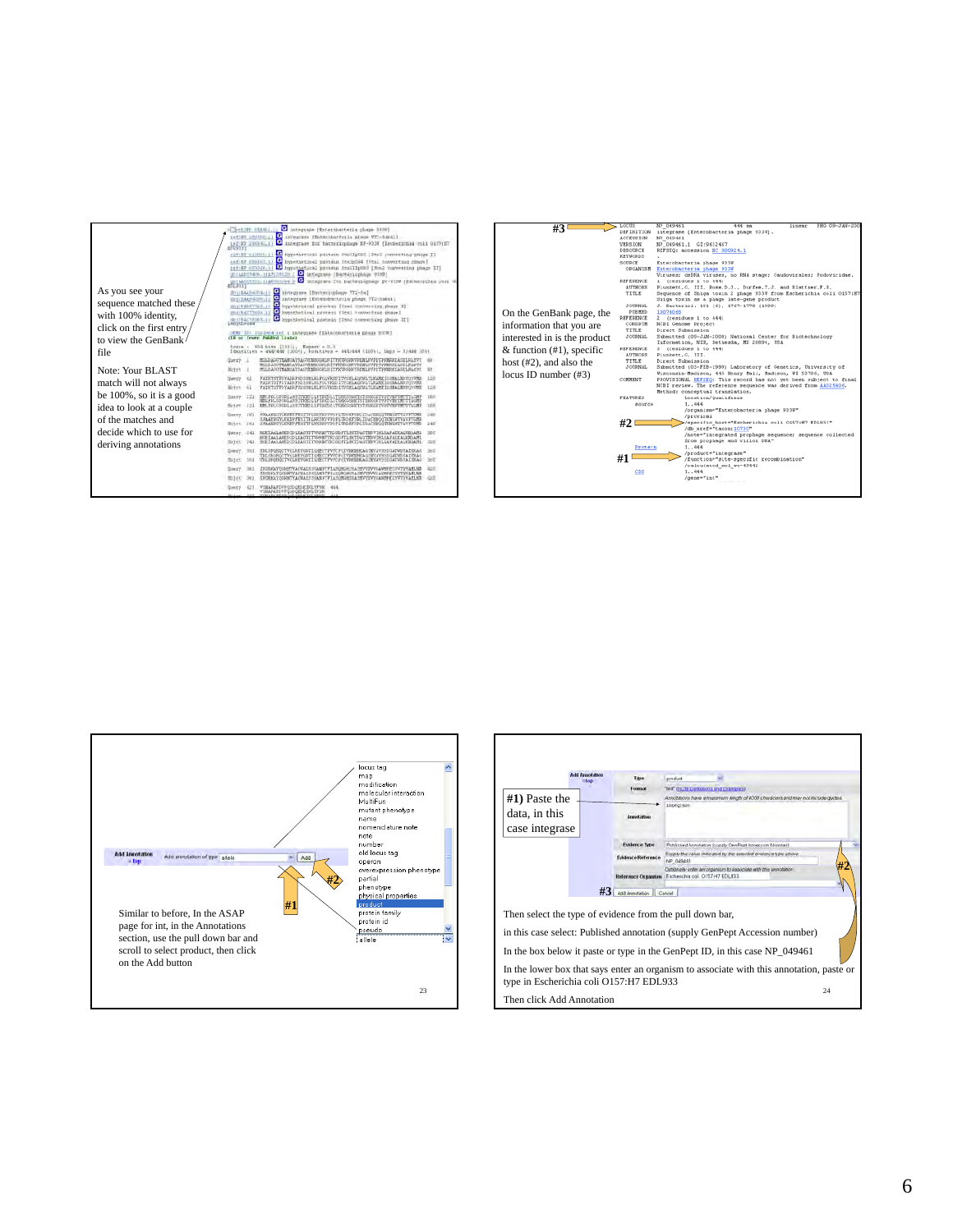

| On the GenBank page, the<br>information that you are<br>interested in is the product<br>& function $(\#1)$ , specific<br>host $(\#2)$ , and also the<br>locus ID number $(\#3)$ | <b>DEFINITION</b><br><b>ACCESSION</b><br><b>VERSION</b><br>DBBOURCE<br><b>KEYWORDS</b><br>SOURCE<br>ORGANISM<br><b>REFERENCE</b><br>AUTHORS:<br>TITLE<br>JOURNAL.<br>PUBMED<br>REFERENCE<br>CONSETE<br>TITLE<br><b>JOURNAL</b><br><b>REFERENCE</b><br>AUTHORS<br>TITLE<br><b>JOURNAL</b><br>COMMENT<br><b>FEATURES</b><br>source<br>#2<br>Protein | NP 049463<br>integrase [Enterobacteria phage 933W].<br>NP 049461<br>NP 049461.1 GI:9632467<br>REFSEQ: accession NC 000924.1<br>Enterobacteria phage 933W<br>Enterobacteria phage 933W<br>Viruses: daDNA viruses, no PNA stage: Caudovirales: Podoviridae.<br>1 (residues 1 to 444)<br>Plunkett, G. III, Rose, D.J., Durfee, T.J. and Blattner, F.R.<br>Sequence of Shiga toxin 2 phage 933W from Escherichia coli 0157:B7<br>Shiga toxin as a phage late-gene product<br>J. Bacteriol. 181 (6), 1767-1778 (1999)<br>10074068<br>(residues 1 to 444)<br>NCBI Genome Project<br>Direct Submission<br>Submitted (09-JAN-2008) National Center for Sictechnology<br>Information, NIM, Bethesda, MD 20894, USA<br>3 (residues 1 to 444)<br>Plunkett, G. III.<br>Direct Submission<br>Submitted (03-FEB-1999) Laboratory of Genetics, University of<br>Wisconsin-Madison, 445 Henry Mall, Madison, WI 53706, USA<br>PROVISIONAL REFSEQ: This record has not yet been subject to final<br>NCBI review. The reference sequence was derived from AAD25406.<br>Method: conceptual translation.<br>Location/Qualifiers<br>1.144<br>/organism-"Enterobacteria phage 933W"<br>/proviral<br>/specific host="Escherichia coli 0157:H7 EDL933"<br>/db xref="taxon: 10730"<br>/note="integrated prophage sequence; sequence collected<br>from prophage and virion DNA"<br>1.1444 |
|---------------------------------------------------------------------------------------------------------------------------------------------------------------------------------|---------------------------------------------------------------------------------------------------------------------------------------------------------------------------------------------------------------------------------------------------------------------------------------------------------------------------------------------------|-----------------------------------------------------------------------------------------------------------------------------------------------------------------------------------------------------------------------------------------------------------------------------------------------------------------------------------------------------------------------------------------------------------------------------------------------------------------------------------------------------------------------------------------------------------------------------------------------------------------------------------------------------------------------------------------------------------------------------------------------------------------------------------------------------------------------------------------------------------------------------------------------------------------------------------------------------------------------------------------------------------------------------------------------------------------------------------------------------------------------------------------------------------------------------------------------------------------------------------------------------------------------------------------------------------------------------------------------------------------|
|                                                                                                                                                                                 |                                                                                                                                                                                                                                                                                                                                                   |                                                                                                                                                                                                                                                                                                                                                                                                                                                                                                                                                                                                                                                                                                                                                                                                                                                                                                                                                                                                                                                                                                                                                                                                                                                                                                                                                                 |
|                                                                                                                                                                                 | #1<br>cps                                                                                                                                                                                                                                                                                                                                         | /product="integrase"<br>/function="site-specific recombination"<br>/calculated mol wt-49442<br>1.144<br>/gene="int"                                                                                                                                                                                                                                                                                                                                                                                                                                                                                                                                                                                                                                                                                                                                                                                                                                                                                                                                                                                                                                                                                                                                                                                                                                             |



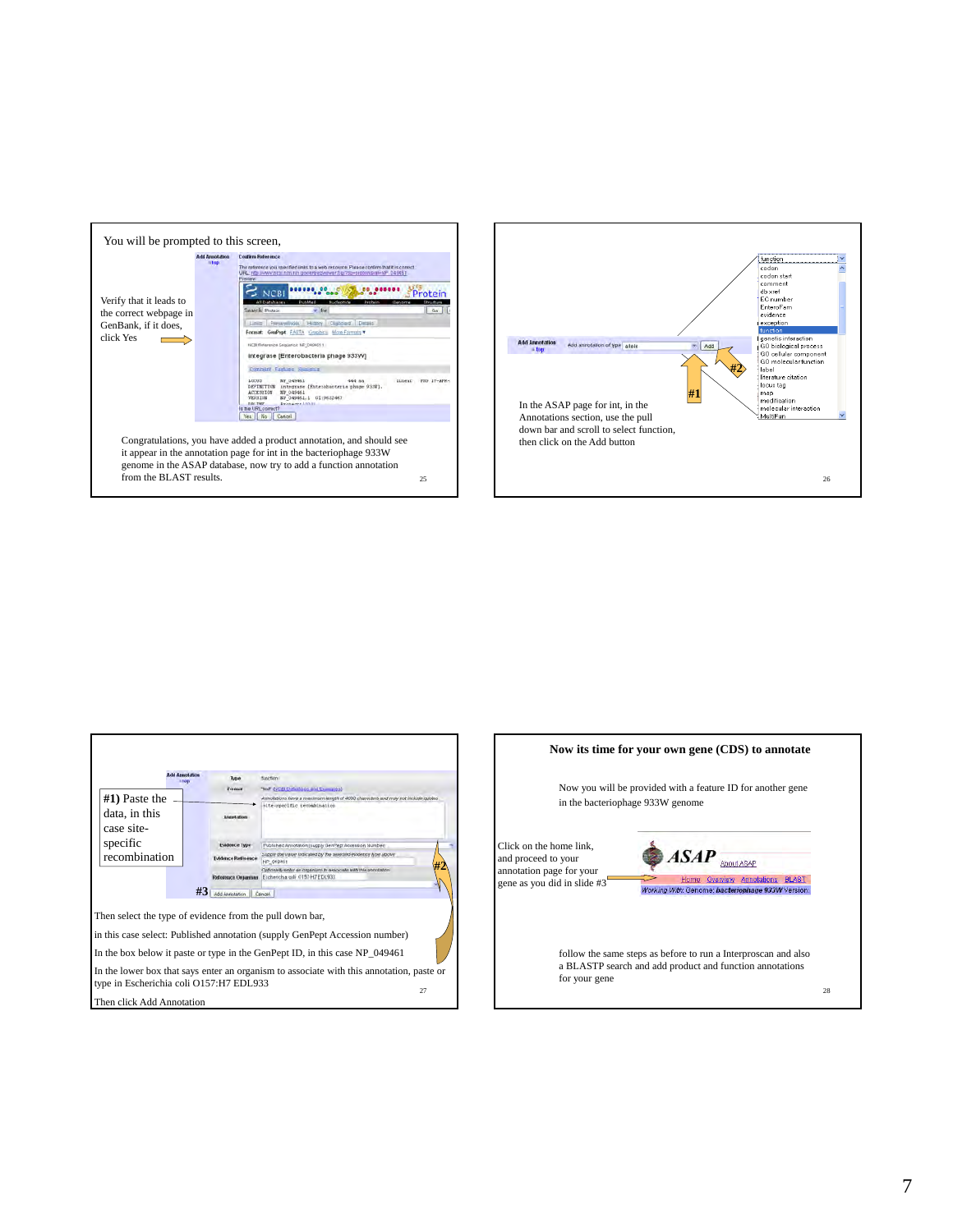





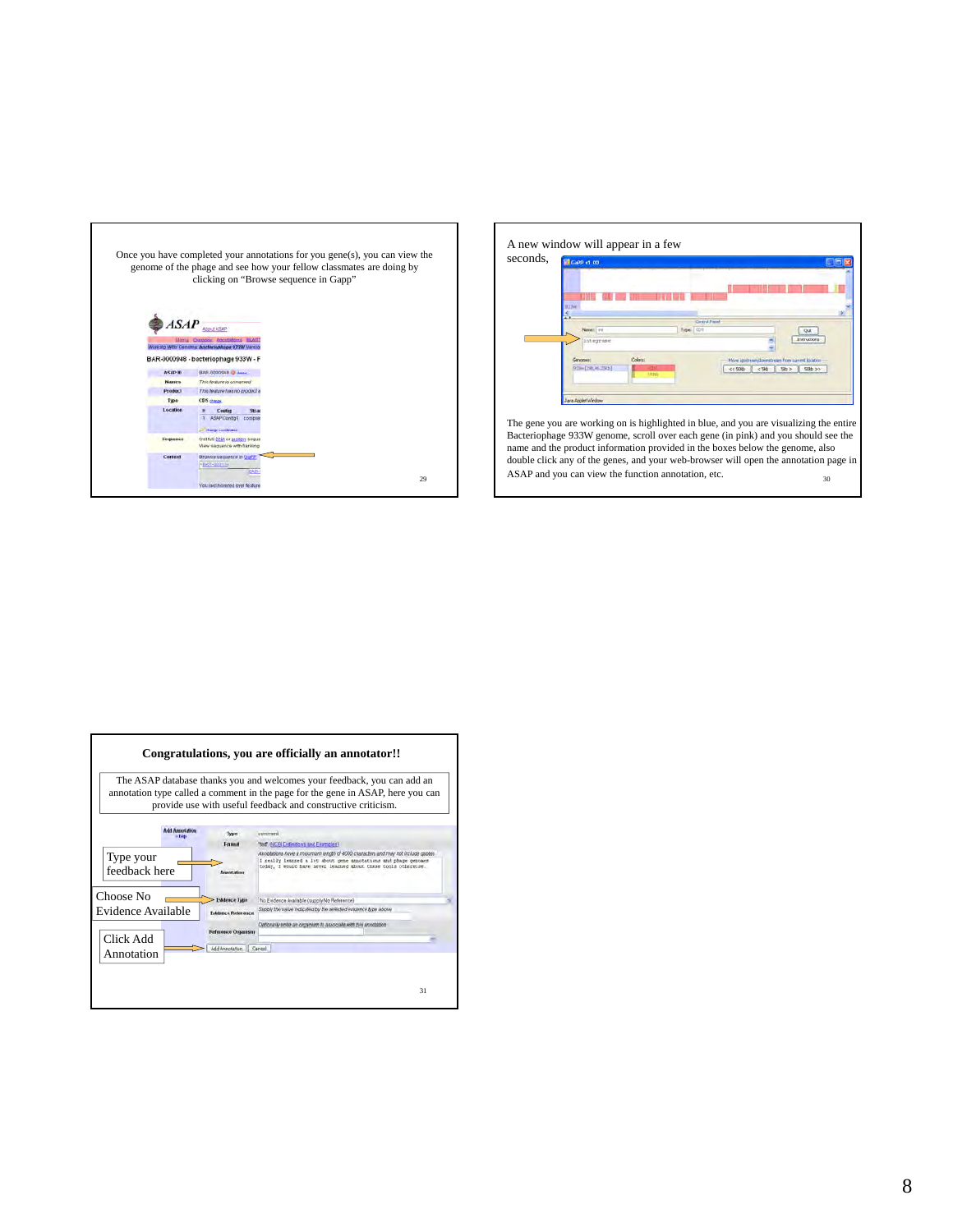



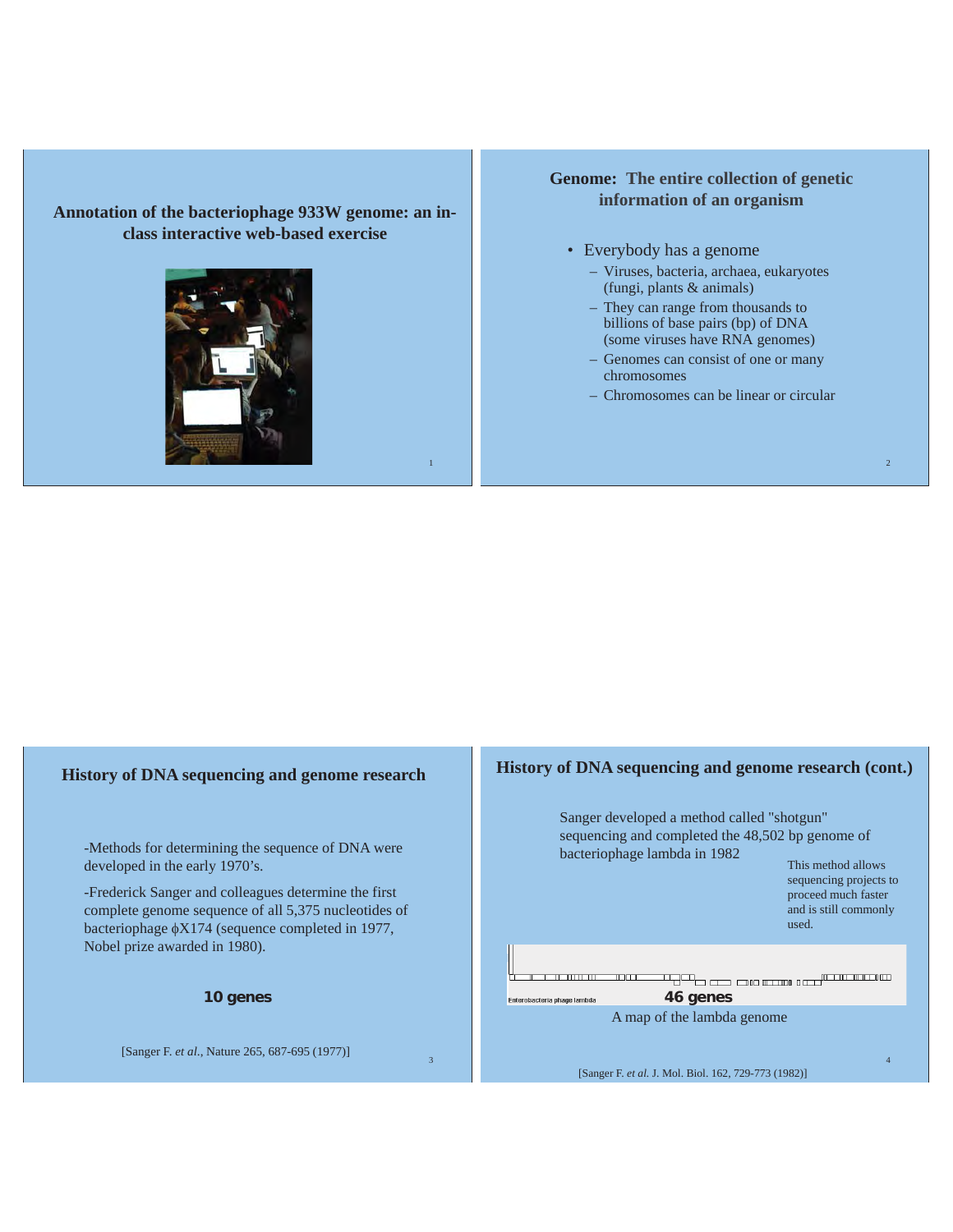## **Annotation of the bacteriophage 933W genome: an inclass interactive web-based exercise**



1

3

## **Genome: The entire collection of genetic information of an organism**

- Everybody has a genome
	- Viruses, bacteria, archaea, eukaryotes (fungi, plants & animals)
	- They can range from thousands to billions of base pairs (bp) of DNA (some viruses have RNA genomes)
	- Genomes can consist of one or many chromosomes
	- Chromosomes can be linear or circular

## **History of DNA sequencing and genome research**

-Methods for determining the sequence of DNA were developed in the early 1970's.

-Frederick Sanger and colleagues determine the first complete genome sequence of all 5,375 nucleotides of bacteriophage  $\phi$ X174 (sequence completed in 1977, Nobel prize awarded in 1980).

**10 genes**

[Sanger F. *et al*., Nature 265, 687-695 (1977)]

## **History of DNA sequencing and genome research (cont.)**



[Sanger F. *et al.* J. Mol. Biol. 162, 729-773 (1982)]

2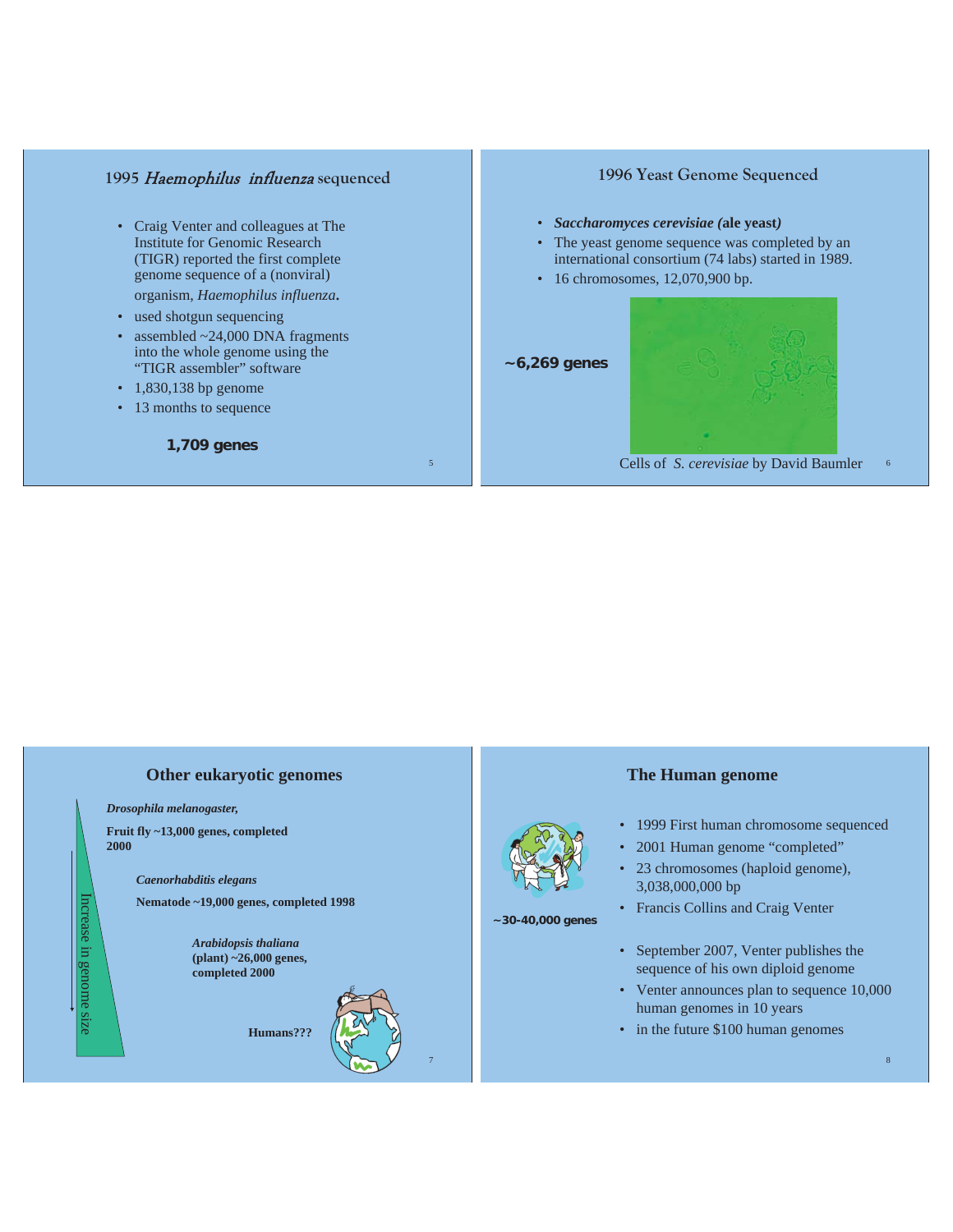## **1995** Haemophilus influenza **sequenced**

- Craig Venter and colleagues at The Institute for Genomic Research (TIGR) reported the first complete genome sequence of a (nonviral) organism, *Haemophilus influenza.*
- used shotgun sequencing
- assembled ~24,000 DNA fragments into the whole genome using the "TIGR assembler" software
- 1,830,138 bp genome
- 13 months to sequence

**1,709 genes**

## **1996 Yeast Genome Sequenced**

- *Saccharomyces cerevisiae (***ale yeast***)*
- The yeast genome sequence was completed by an international consortium (74 labs) started in 1989.
- 16 chromosomes, 12,070,900 bp.
- **~6,269 genes**

5

7



Cells of *S. cerevisiae* by David Baumler

## **Other eukaryotic genomes**

*Drosophila melanogaster,*

Increase in genome size

Increase in genome size

**Fruit fly ~13,000 genes, completed 2000**

*Caenorhabditis elegans*

**Nematode ~19,000 genes, completed 1998**

*Arabidopsis thaliana* **(plant) ~26,000 genes, completed 2000**

**Humans???**



**~30-40,000 genes**

### **The Human genome**

- 1999 First human chromosome sequenced
- 2001 Human genome "completed"
- 23 chromosomes (haploid genome), 3,038,000,000 bp
- Francis Collins and Craig Venter
- September 2007, Venter publishes the sequence of his own diploid genome
- Venter announces plan to sequence 10,000 human genomes in 10 years
- in the future \$100 human genomes

6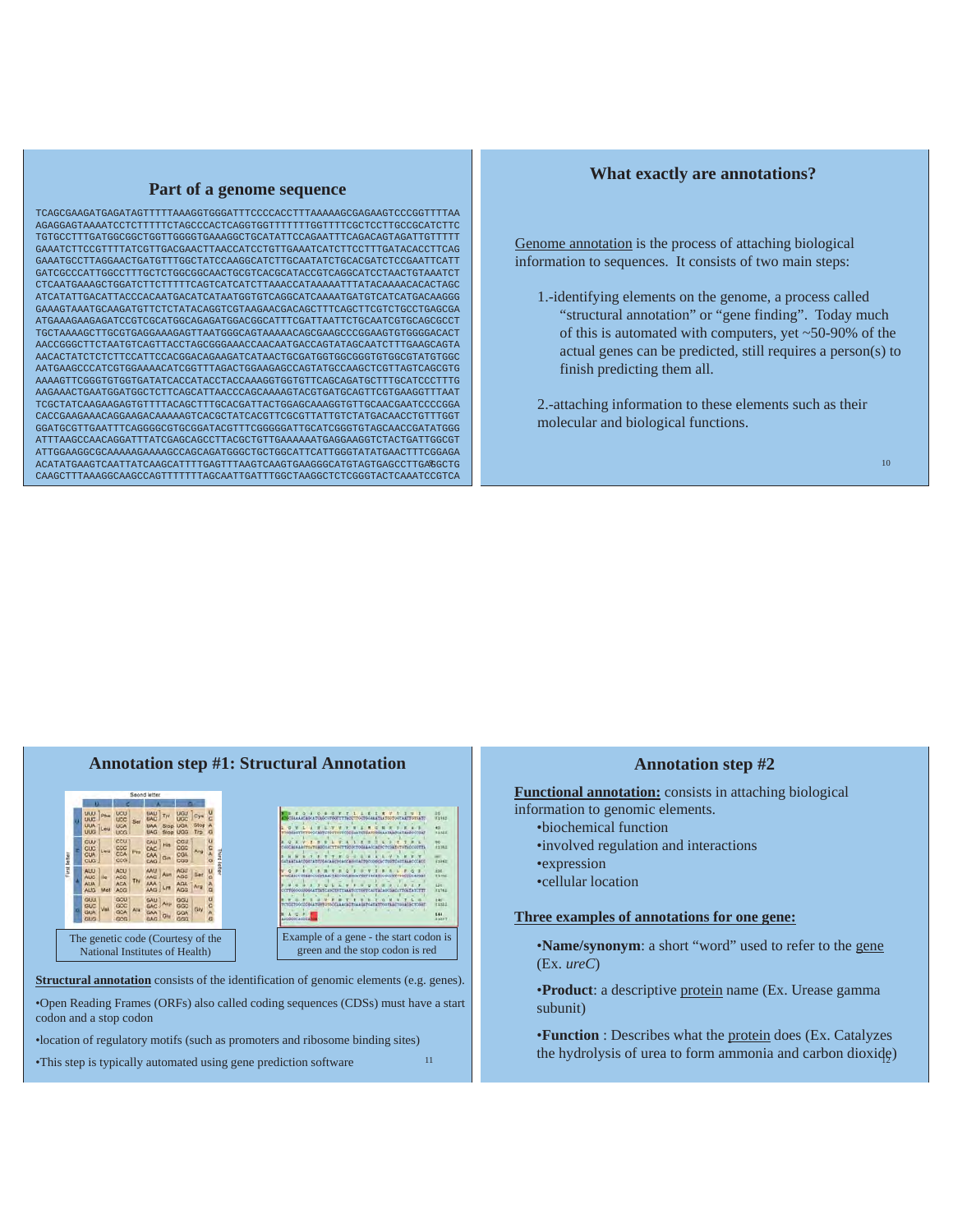## **Part of a genome sequence**

9 ACATATGAAGTCAATTATCAAGCATTTTGAGTTTAAGTCAAGTGAAGGGCATGTAGTGAGCCTTGAGGCTG TCAGCGAAGATGAGATAGTTTTTAAAGGTGGGATTTCCCCACCTTTAAAAAGCGAGAAGTCCCGGTTTTAA AGAGGAGTAAAATCCTCTTTTTCTAGCCCACTCAGGTGGTTTTTTTGGTTTTCGCTCCTTGCCGCATCTTC TGTGCCTTTGATGGCGGCTGGTTGGGGTGAAAGGCTGCATATTCCAGAATTTCAGACAGTAGATTGTTTTT GAAATCTTCCGTTTTATCGTTGACGAACTTAACCATCCTGTTGAAATCATCTTCCTTTGATACACCTTCAG GAAATGCCTTAGGAACTGATGTTTGGCTATCCAAGGCATCTTGCAATATCTGCACGATCTCCGAATTCATT GATCGCCCATTGGCCTTTGCTCTGGCGGCAACTGCGTCACGCATACCGTCAGGCATCCTAACTGTAAATCT CTCAATGAAAGCTGGATCTTCTTTTTCAGTCATCATCTTAAACCATAAAAATTTATACAAAACACACTAGC ATCATATTGACATTACCCACAATGACATCATAATGGTGTCAGGCATCAAAATGATGTCATCATGACAAGGG GAAAGTAAATGCAAGATGTTCTCTATACAGGTCGTAAGAACGACAGCTTTCAGCTTCGTCTGCCTGAGCGA ATGAAAGAAGAGATCCGTCGCATGGCAGAGATGGACGGCATTTCGATTAATTCTGCAATCGTGCAGCGCCT TGCTAAAAGCTTGCGTGAGGAAAGAGTTAATGGGCAGTAAAAACAGCGAAGCCCGGAAGTGTGGGGACACT AACCGGGCTTCTAATGTCAGTTACCTAGCGGGAAACCAACAATGACCAGTATAGCAATCTTTGAAGCAGTA AACACTATCTCTCTTCCATTCCACGGACAGAAGATCATAACTGCGATGGTGGCGGGTGTGGCGTATGTGGC AATGAAGCCCATCGTGGAAAACATCGGTTTAGACTGGAAGAGCCAGTATGCCAAGCTCGTTAGTCAGCGTG AAAAGTTCGGGTGTGGTGATATCACCATACCTACCAAAGGTGGTGTTCAGCAGATGCTTTGCATCCCTTTG AAGAAACTGAATGGATGGCTCTTCAGCATTAACCCAGCAAAAGTACGTGATGCAGTTCGTGAAGGTTTAAT TCGCTATCAAGAAGAGTGTTTTACAGCTTTGCACGATTACTGGAGCAAAGGTGTTGCAACGAATCCCCGGA CACCGAAGAAACAGGAAGACAAAAAGTCACGCTATCACGTTCGCGTTATTGTCTATGACAACCTGTTTGGT GGATGCGTTGAATTTCAGGGGCGTGCGGATACGTTTCGGGGGATTGCATCGGGTGTAGCAACCGATATGGG ATTTAAGCCAACAGGATTTATCGAGCAGCCTTACGCTGTTGAAAAAATGAGGAAGGTCTACTGATTGGCGT ATTGGAAGGCGCAAAAAGAAAAGCCAGCAGATGGGCTGCTGGCATTCATTGGGTATATGAACTTTCGGAGA CAAGCTTTAAAGGCAAGCCAGTTTTTTTAGCAATTGATTTGGCTAAGGCTCTCGGGTACTCAAATCCGTCA

### **What exactly are annotations?**

Genome annotation is the process of attaching biological information to sequences. It consists of two main steps:

- 1.-identifying elements on the genome, a process called "structural annotation" or "gene finding". Today much of this is automated with computers, yet ~50-90% of the actual genes can be predicted, still requires a person(s) to finish predicting them all.
- 2.-attaching information to these elements such as their molecular and biological functions.

#### **Annotation step #1: Structural Annotation** UAD Tyr<br>UAC Stop<br>UAG Stop Stop<br>Trp OFFICERS AND LEADER CONSUMERS **ATATACOSTATION CARDINAL REGION COMPANY DE CONTACTALE COMPANY**<br>TOCALCETHA COOPERATE COMPANY REGION CONSERTED CONSERTING CONSERT Ser of  $\mathfrak{so}$ Lys THE R. P. LEWIS CO., LANSING MICH. GCC<br>GCA<br>GCA<br>Ala GAU AIR GGU<br>GAC AIR GGO<br>GAA ON GGA ren. Giy  $\overline{\mathbf{u}}$ Example of a gene - the start codon is The genetic code (Courtesy of the green and the stop codon is red National Institutes of Health) **Structural annotation** consists of the identification of genomic elements (e.g. genes). •Open Reading Frames (ORFs) also called coding sequences (CDSs) must have a start codon and a stop codon

•location of regulatory motifs (such as promoters and ribosome binding sites)

•This step is typically automated using gene prediction software

### **Annotation step #2**

**Functional annotation:** consists in attaching biological

- information to genomic elements.
	- •biochemical function
	- •involved regulation and interactions
	- •expression
	- •cellular location

11

## **Three examples of annotations for one gene:**

•**Name/synonym**: a short "word" used to refer to the gene (Ex. *ureC*)

•**Product**: a descriptive protein name (Ex. Urease gamma subunit)

the hydrolysis of urea to form ammonia and carbon dioxide) •**Function** : Describes what the protein does (Ex. Catalyzes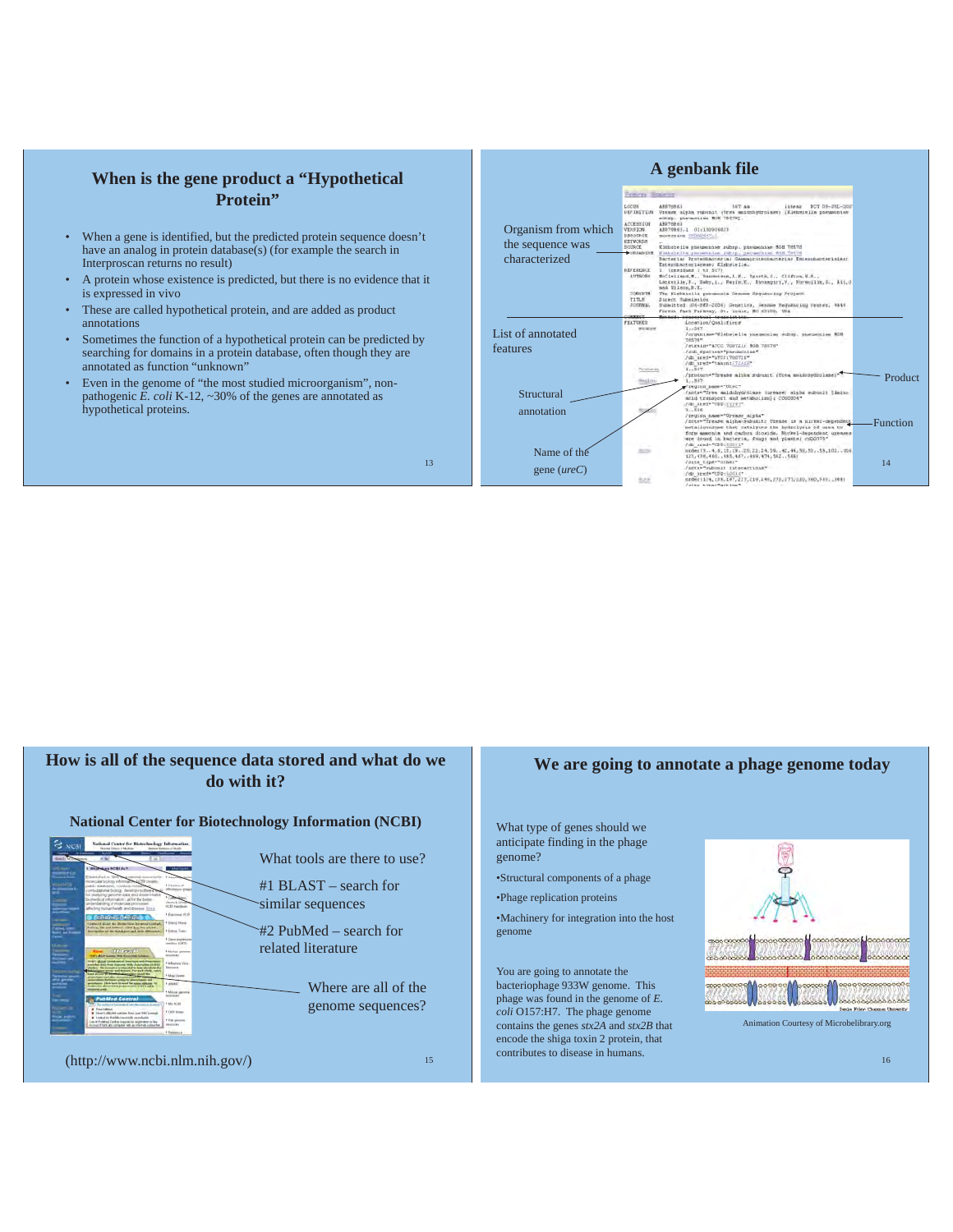## **When is the gene product a "Hypothetical Protein"**

- When a gene is identified, but the predicted protein sequence doesn't have an analog in protein database(s) (for example the search in Interproscan returns no result)
- A protein whose existence is predicted, but there is no evidence that it is expressed in vivo
- These are called hypothetical protein, and are added as product annotations
- Sometimes the function of a hypothetical protein can be predicted by searching for domains in a protein database, often though they are annotated as function "unknown"
- Even in the genome of "the most studied microorganism", nonpathogenic *E. coli* K-12, ~30% of the genes are annotated as hypothetical proteins.

**A genbank file Frame Boards** ABB79861<br>Vremer alpha sumunit (Vre<br>sumpt: pheumonime RGB 786 LOCUN<br>REFINITION imie międa wieniart (Ore<br>dę. pierwodzimi ROB 786<br>1980: 1 - 01:18090:031<br>2004: 1 - 01:18090:031<br>2004: 2010/047.1 一般の Organism from which the sequence was Editiin postekulas 1984.<br>teriar Protesbanteria: Ga characterized EFERENCE<br>AUTRORS  $n, k, \ell_1, \ldots, n_k$  $\mathbb{R}$ monia Demme Bequencing Froject CORINTS 36) Denetima, Manmas Regul<br>3t. Louia, NJ 63108, USA /Qualifiers List of annotated "Elebricity p features C TOOTLL ROB<br>""pordemaine"<br>"C-TOOTLLE" Posted Product Structural annotation Function isi. .<br>.211, 22, 24, 39. . 42, 44, 50, 53, . 55, 102. . 15<br>7. . 469, 474, 562. . 566. Name of the 14 gene (*ureC*) f="CDD+1,001.0"<br>>4, 13%, 107, 237, 259, 240, 273, 277, 120, 510, 510, ... 00)<br>vie="act:11="  $426$ 

## **How is all of the sequence data stored and what do we do with it?**

## **National Center for Biotechnology Information (NCBI)**



(http://www.ncbi.nlm.nih.gov/)

15

13

## **We are going to annotate a phage genome today**

- What type of genes should we anticipate finding in the phage genome?
- •Structural components of a phage
- •Phage replication proteins
- •Machinery for integration into the host genome

You are going to annotate the bacteriophage 933W genome. This phage was found in the genome of *E. coli* O157:H7. The phage genome contains the genes *stx2A* and *stx2B* that encode the shiga toxin 2 protein, that contributes to disease in humans.